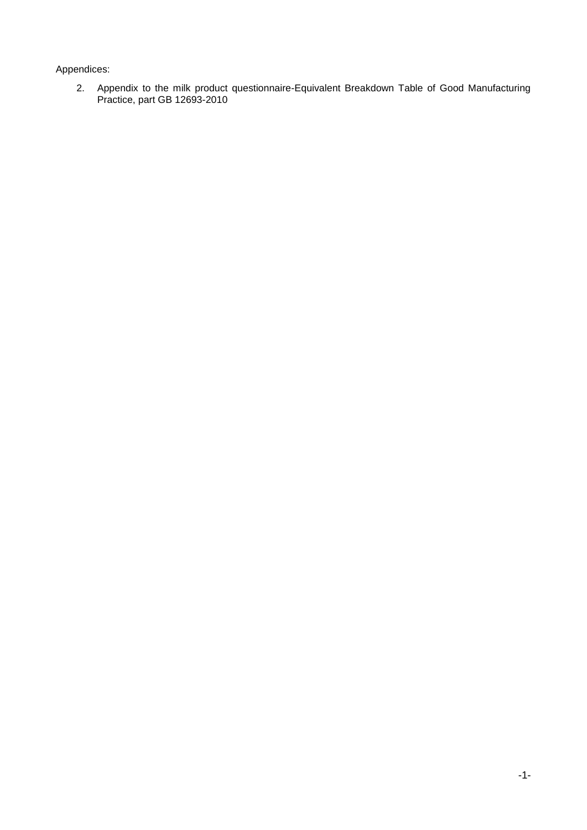### Appendices:

2. Appendix to the milk product questionnaire-Equivalent Breakdown Table of Good Manufacturing Practice, part GB 12693-2010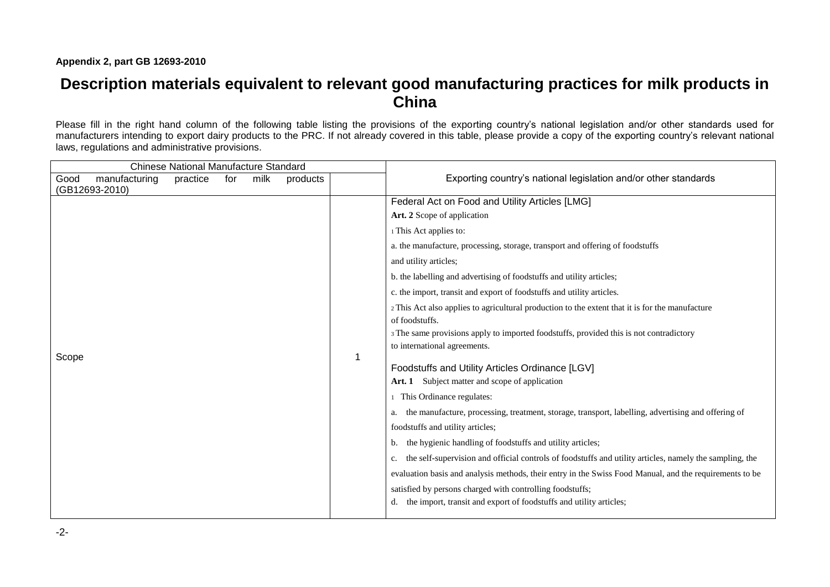# **Description materials equivalent to relevant good manufacturing practices for milk products in China**

Please fill in the right hand column of the following table listing the provisions of the exporting country's national legislation and/or other standards used for manufacturers intending to export dairy products to the PRC. If not already covered in this table, please provide a copy of the exporting country's relevant national laws, regulations and administrative provisions.

| <b>Chinese National Manufacture Standard</b>                                   |   |                                                                                                               |
|--------------------------------------------------------------------------------|---|---------------------------------------------------------------------------------------------------------------|
| manufacturing<br>milk<br>Good<br>practice<br>for<br>products<br>(GB12693-2010) |   | Exporting country's national legislation and/or other standards                                               |
|                                                                                |   | Federal Act on Food and Utility Articles [LMG]                                                                |
|                                                                                |   | Art. 2 Scope of application                                                                                   |
|                                                                                |   | 1 This Act applies to:                                                                                        |
|                                                                                |   | a. the manufacture, processing, storage, transport and offering of foodstuffs                                 |
|                                                                                |   | and utility articles;                                                                                         |
|                                                                                |   | b. the labelling and advertising of foodstuffs and utility articles;                                          |
|                                                                                |   | c. the import, transit and export of foodstuffs and utility articles.                                         |
|                                                                                |   | 2 This Act also applies to agricultural production to the extent that it is for the manufacture               |
|                                                                                |   | of foodstuffs.                                                                                                |
|                                                                                |   | 3 The same provisions apply to imported foodstuffs, provided this is not contradictory                        |
|                                                                                |   | to international agreements.                                                                                  |
| Scope                                                                          | 1 | Foodstuffs and Utility Articles Ordinance [LGV]                                                               |
|                                                                                |   | Art. 1 Subject matter and scope of application                                                                |
|                                                                                |   | This Ordinance regulates:                                                                                     |
|                                                                                |   | a. the manufacture, processing, treatment, storage, transport, labelling, advertising and offering of         |
|                                                                                |   | foodstuffs and utility articles;                                                                              |
|                                                                                |   | b. the hygienic handling of foodstuffs and utility articles;                                                  |
|                                                                                |   | the self-supervision and official controls of foodstuffs and utility articles, namely the sampling, the<br>c. |
|                                                                                |   | evaluation basis and analysis methods, their entry in the Swiss Food Manual, and the requirements to be       |
|                                                                                |   | satisfied by persons charged with controlling foodstuffs;                                                     |
|                                                                                |   | d. the import, transit and export of foodstuffs and utility articles;                                         |
|                                                                                |   |                                                                                                               |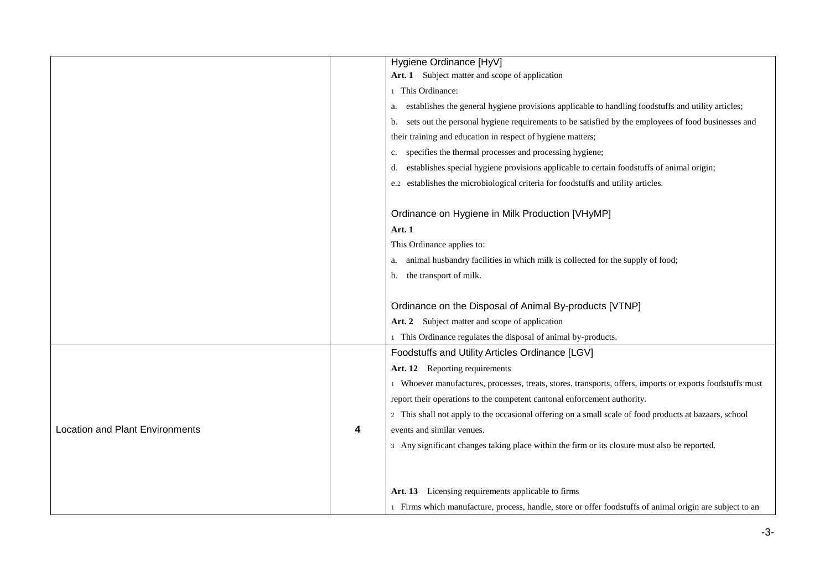|                                        |   | Hygiene Ordinance [HyV]                                                                                   |
|----------------------------------------|---|-----------------------------------------------------------------------------------------------------------|
|                                        |   | Art. 1 Subject matter and scope of application                                                            |
|                                        |   | 1 This Ordinance:                                                                                         |
|                                        |   | establishes the general hygiene provisions applicable to handling foodstuffs and utility articles;<br>a.  |
|                                        |   | sets out the personal hygiene requirements to be satisfied by the employees of food businesses and<br>b.  |
|                                        |   | their training and education in respect of hygiene matters;                                               |
|                                        |   | specifies the thermal processes and processing hygiene;<br>c.                                             |
|                                        |   | establishes special hygiene provisions applicable to certain foodstuffs of animal origin;<br>d.           |
|                                        |   | e.2 establishes the microbiological criteria for foodstuffs and utility articles.                         |
|                                        |   | Ordinance on Hygiene in Milk Production [VHyMP]                                                           |
|                                        |   | Art. 1                                                                                                    |
|                                        |   | This Ordinance applies to:                                                                                |
|                                        |   | animal husbandry facilities in which milk is collected for the supply of food;<br>a.                      |
|                                        |   | the transport of milk.<br>b.                                                                              |
|                                        |   |                                                                                                           |
|                                        |   | Ordinance on the Disposal of Animal By-products [VTNP]                                                    |
|                                        |   | Art. 2 Subject matter and scope of application                                                            |
|                                        |   | This Ordinance regulates the disposal of animal by-products.                                              |
|                                        |   | Foodstuffs and Utility Articles Ordinance [LGV]                                                           |
|                                        |   | Art. 12 Reporting requirements                                                                            |
|                                        |   | 1 Whoever manufactures, processes, treats, stores, transports, offers, imports or exports foodstuffs must |
|                                        |   | report their operations to the competent cantonal enforcement authority.                                  |
|                                        |   | 2 This shall not apply to the occasional offering on a small scale of food products at bazaars, school    |
| <b>Location and Plant Environments</b> | 4 | events and similar venues.                                                                                |
|                                        |   | 3 Any significant changes taking place within the firm or its closure must also be reported.              |
|                                        |   |                                                                                                           |
|                                        |   |                                                                                                           |
|                                        |   | Art. 13 Licensing requirements applicable to firms                                                        |
|                                        |   | 1 Firms which manufacture, process, handle, store or offer foodstuffs of animal origin are subject to an  |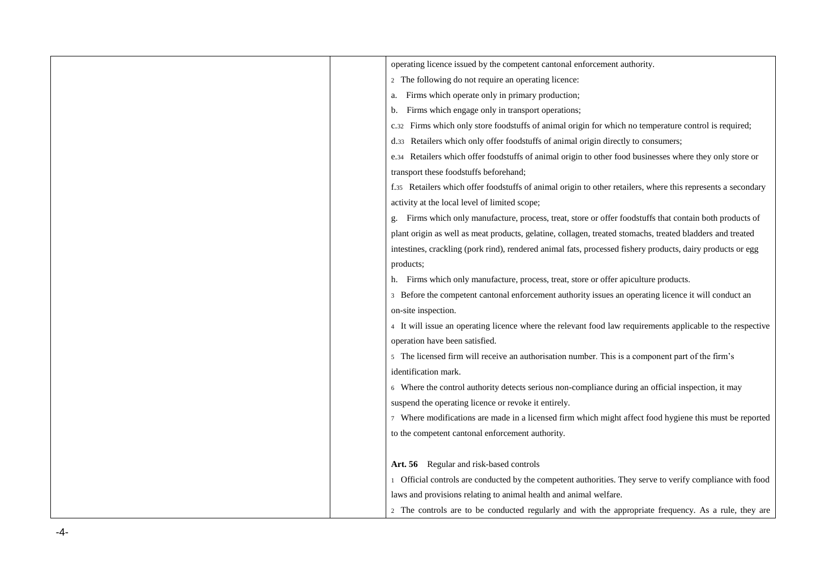| operating licence issued by the competent cantonal enforcement authority.                                    |
|--------------------------------------------------------------------------------------------------------------|
| 2 The following do not require an operating licence:                                                         |
| Firms which operate only in primary production;<br>a.                                                        |
| Firms which engage only in transport operations;<br>b.                                                       |
| Firms which only store foodstuffs of animal origin for which no temperature control is required;<br>C.32     |
| Retailers which only offer foodstuffs of animal origin directly to consumers;<br>d.33                        |
| Retailers which offer foodstuffs of animal origin to other food businesses where they only store or<br>e.34  |
| transport these foodstuffs beforehand;                                                                       |
| f.35 Retailers which offer foodstuffs of animal origin to other retailers, where this represents a secondary |
| activity at the local level of limited scope;                                                                |
| Firms which only manufacture, process, treat, store or offer foodstuffs that contain both products of        |
| plant origin as well as meat products, gelatine, collagen, treated stomachs, treated bladders and treated    |
| intestines, crackling (pork rind), rendered animal fats, processed fishery products, dairy products or egg   |
| products;                                                                                                    |
| Firms which only manufacture, process, treat, store or offer apiculture products.<br>h.                      |
| 3 Before the competent cantonal enforcement authority issues an operating licence it will conduct an         |
| on-site inspection.                                                                                          |
| 4 It will issue an operating licence where the relevant food law requirements applicable to the respective   |
| operation have been satisfied.                                                                               |
| 5 The licensed firm will receive an authorisation number. This is a component part of the firm's             |
| identification mark.                                                                                         |
| 6 Where the control authority detects serious non-compliance during an official inspection, it may           |
| suspend the operating licence or revoke it entirely.                                                         |
| 7 Where modifications are made in a licensed firm which might affect food hygiene this must be reported      |
| to the competent cantonal enforcement authority.                                                             |
|                                                                                                              |
| Art. 56 Regular and risk-based controls                                                                      |
| 1 Official controls are conducted by the competent authorities. They serve to verify compliance with food    |
| laws and provisions relating to animal health and animal welfare.                                            |
| 2 The controls are to be conducted regularly and with the appropriate frequency. As a rule, they are         |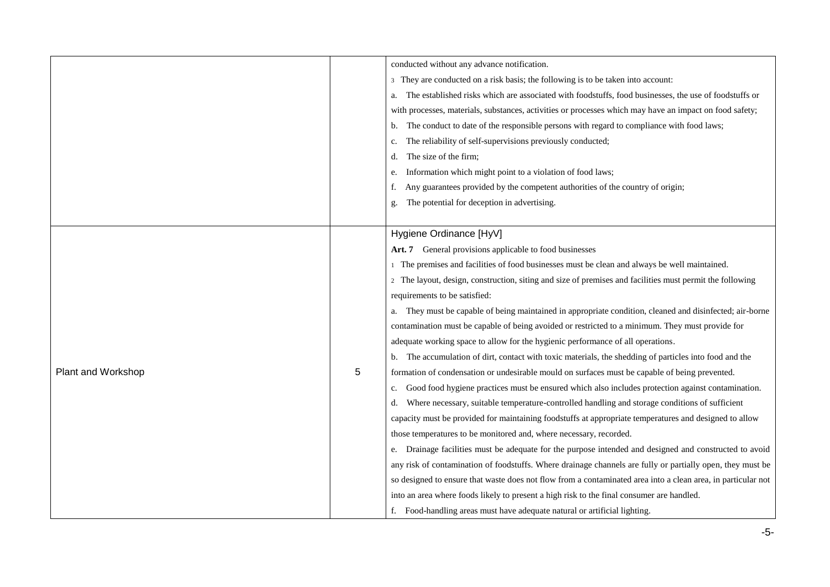|                    |   | conducted without any advance notification.                                                                  |
|--------------------|---|--------------------------------------------------------------------------------------------------------------|
|                    |   | 3 They are conducted on a risk basis; the following is to be taken into account:                             |
|                    |   | The established risks which are associated with foodstuffs, food businesses, the use of foodstuffs or<br>a.  |
|                    |   | with processes, materials, substances, activities or processes which may have an impact on food safety;      |
|                    |   | The conduct to date of the responsible persons with regard to compliance with food laws;<br>b.               |
|                    |   | The reliability of self-supervisions previously conducted;<br>c.                                             |
|                    |   | The size of the firm;<br>d.                                                                                  |
|                    |   | Information which might point to a violation of food laws;<br>e.                                             |
|                    |   | Any guarantees provided by the competent authorities of the country of origin;<br>f.                         |
|                    |   | The potential for deception in advertising.                                                                  |
|                    |   |                                                                                                              |
|                    |   | Hygiene Ordinance [HyV]                                                                                      |
|                    |   | Art. 7 General provisions applicable to food businesses                                                      |
|                    |   | 1 The premises and facilities of food businesses must be clean and always be well maintained.                |
|                    | 5 | 2 The layout, design, construction, siting and size of premises and facilities must permit the following     |
|                    |   | requirements to be satisfied:                                                                                |
|                    |   | They must be capable of being maintained in appropriate condition, cleaned and disinfected; air-borne        |
|                    |   | contamination must be capable of being avoided or restricted to a minimum. They must provide for             |
|                    |   | adequate working space to allow for the hygienic performance of all operations.                              |
|                    |   | The accumulation of dirt, contact with toxic materials, the shedding of particles into food and the          |
| Plant and Workshop |   | formation of condensation or undesirable mould on surfaces must be capable of being prevented.               |
|                    |   | Good food hygiene practices must be ensured which also includes protection against contamination.<br>c.      |
|                    |   | Where necessary, suitable temperature-controlled handling and storage conditions of sufficient<br>d.         |
|                    |   | capacity must be provided for maintaining foodstuffs at appropriate temperatures and designed to allow       |
|                    |   | those temperatures to be monitored and, where necessary, recorded.                                           |
|                    |   | Drainage facilities must be adequate for the purpose intended and designed and constructed to avoid          |
|                    |   | any risk of contamination of foodstuffs. Where drainage channels are fully or partially open, they must be   |
|                    |   | so designed to ensure that waste does not flow from a contaminated area into a clean area, in particular not |
|                    |   | into an area where foods likely to present a high risk to the final consumer are handled.                    |
|                    |   | f. Food-handling areas must have adequate natural or artificial lighting.                                    |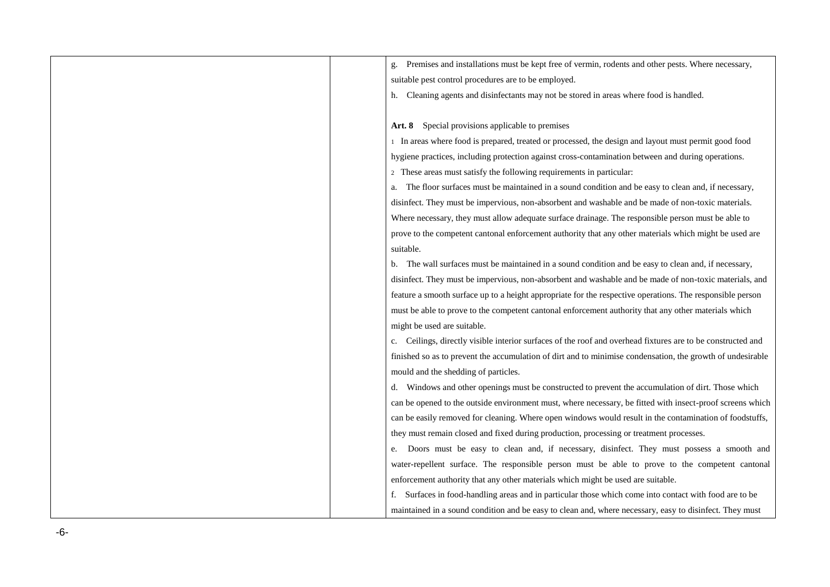| Premises and installations must be kept free of vermin, rodents and other pests. Where necessary,           |
|-------------------------------------------------------------------------------------------------------------|
| suitable pest control procedures are to be employed.                                                        |
| h. Cleaning agents and disinfectants may not be stored in areas where food is handled.                      |
|                                                                                                             |
| Art. 8 Special provisions applicable to premises                                                            |
| 1 In areas where food is prepared, treated or processed, the design and layout must permit good food        |
| hygiene practices, including protection against cross-contamination between and during operations.          |
| 2 These areas must satisfy the following requirements in particular:                                        |
| The floor surfaces must be maintained in a sound condition and be easy to clean and, if necessary,          |
| disinfect. They must be impervious, non-absorbent and washable and be made of non-toxic materials.          |
| Where necessary, they must allow adequate surface drainage. The responsible person must be able to          |
| prove to the competent cantonal enforcement authority that any other materials which might be used are      |
| suitable.                                                                                                   |
| The wall surfaces must be maintained in a sound condition and be easy to clean and, if necessary,<br>b.     |
| disinfect. They must be impervious, non-absorbent and washable and be made of non-toxic materials, and      |
| feature a smooth surface up to a height appropriate for the respective operations. The responsible person   |
| must be able to prove to the competent cantonal enforcement authority that any other materials which        |
| might be used are suitable.                                                                                 |
| c. Ceilings, directly visible interior surfaces of the roof and overhead fixtures are to be constructed and |
| finished so as to prevent the accumulation of dirt and to minimise condensation, the growth of undesirable  |
| mould and the shedding of particles.                                                                        |
| Windows and other openings must be constructed to prevent the accumulation of dirt. Those which<br>d.       |
| can be opened to the outside environment must, where necessary, be fitted with insect-proof screens which   |
| can be easily removed for cleaning. Where open windows would result in the contamination of foodstuffs,     |
| they must remain closed and fixed during production, processing or treatment processes.                     |
| e. Doors must be easy to clean and, if necessary, disinfect. They must possess a smooth and                 |
| water-repellent surface. The responsible person must be able to prove to the competent cantonal             |
| enforcement authority that any other materials which might be used are suitable.                            |
| f. Surfaces in food-handling areas and in particular those which come into contact with food are to be      |
| maintained in a sound condition and be easy to clean and, where necessary, easy to disinfect. They must     |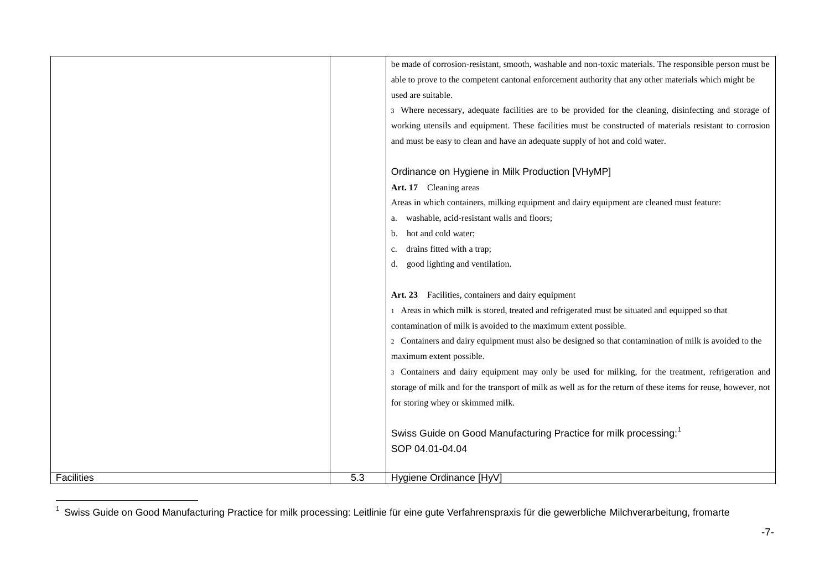|                   |     | be made of corrosion-resistant, smooth, washable and non-toxic materials. The responsible person must be       |
|-------------------|-----|----------------------------------------------------------------------------------------------------------------|
|                   |     | able to prove to the competent cantonal enforcement authority that any other materials which might be          |
|                   |     | used are suitable.                                                                                             |
|                   |     | 3 Where necessary, adequate facilities are to be provided for the cleaning, disinfecting and storage of        |
|                   |     | working utensils and equipment. These facilities must be constructed of materials resistant to corrosion       |
|                   |     | and must be easy to clean and have an adequate supply of hot and cold water.                                   |
|                   |     |                                                                                                                |
|                   |     | Ordinance on Hygiene in Milk Production [VHyMP]                                                                |
|                   |     | Art. 17 Cleaning areas                                                                                         |
|                   |     | Areas in which containers, milking equipment and dairy equipment are cleaned must feature:                     |
|                   |     | washable, acid-resistant walls and floors;<br>a.                                                               |
|                   |     | hot and cold water;<br>b.                                                                                      |
|                   |     | drains fitted with a trap;<br>c.                                                                               |
|                   |     | good lighting and ventilation.<br>d.                                                                           |
|                   |     |                                                                                                                |
|                   |     | Art. 23 Facilities, containers and dairy equipment                                                             |
|                   |     | 1 Areas in which milk is stored, treated and refrigerated must be situated and equipped so that                |
|                   |     | contamination of milk is avoided to the maximum extent possible.                                               |
|                   |     | 2 Containers and dairy equipment must also be designed so that contamination of milk is avoided to the         |
|                   |     | maximum extent possible.                                                                                       |
|                   |     | 3 Containers and dairy equipment may only be used for milking, for the treatment, refrigeration and            |
|                   |     | storage of milk and for the transport of milk as well as for the return of these items for reuse, however, not |
|                   |     | for storing whey or skimmed milk.                                                                              |
|                   |     |                                                                                                                |
|                   |     | Swiss Guide on Good Manufacturing Practice for milk processing: <sup>1</sup>                                   |
|                   |     | SOP 04.01-04.04                                                                                                |
|                   |     |                                                                                                                |
| <b>Facilities</b> | 5.3 | Hygiene Ordinance [HyV]                                                                                        |

 1 Swiss Guide on Good Manufacturing Practice for milk processing: Leitlinie für eine gute Verfahrenspraxis für die gewerbliche Milchverarbeitung, fromarte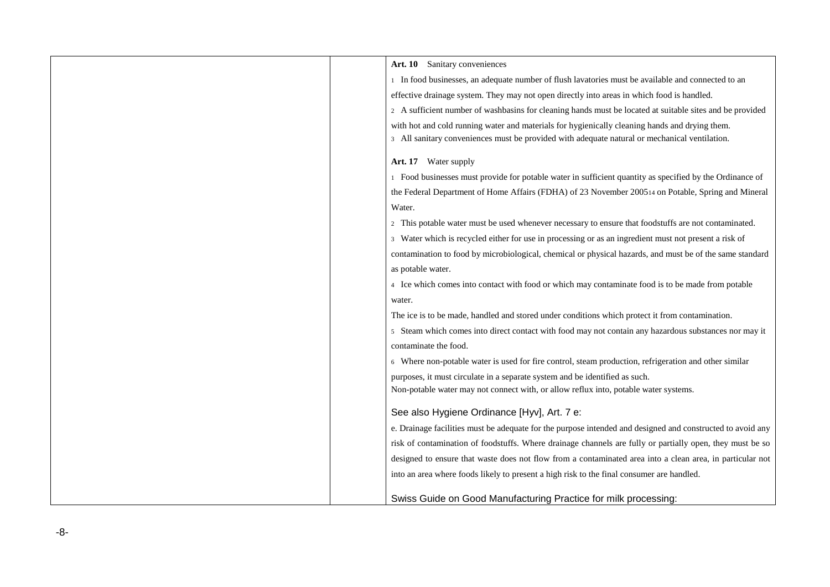| Art. 10 Sanitary conveniences                                                                              |
|------------------------------------------------------------------------------------------------------------|
| 1 In food businesses, an adequate number of flush lavatories must be available and connected to an         |
| effective drainage system. They may not open directly into areas in which food is handled.                 |
| 2 A sufficient number of washbasins for cleaning hands must be located at suitable sites and be provided   |
| with hot and cold running water and materials for hygienically cleaning hands and drying them.             |
| 3 All sanitary conveniences must be provided with adequate natural or mechanical ventilation.              |
| Art. 17 Water supply                                                                                       |
| 1 Food businesses must provide for potable water in sufficient quantity as specified by the Ordinance of   |
| the Federal Department of Home Affairs (FDHA) of 23 November 200514 on Potable, Spring and Mineral         |
| Water.                                                                                                     |
| 2 This potable water must be used whenever necessary to ensure that foodstuffs are not contaminated.       |
| 3 Water which is recycled either for use in processing or as an ingredient must not present a risk of      |
| contamination to food by microbiological, chemical or physical hazards, and must be of the same standard   |
| as potable water.                                                                                          |
| 4 Ice which comes into contact with food or which may contaminate food is to be made from potable          |
| water.                                                                                                     |
| The ice is to be made, handled and stored under conditions which protect it from contamination.            |
| 5 Steam which comes into direct contact with food may not contain any hazardous substances nor may it      |
| contaminate the food.                                                                                      |
| 6 Where non-potable water is used for fire control, steam production, refrigeration and other similar      |
| purposes, it must circulate in a separate system and be identified as such.                                |
| Non-potable water may not connect with, or allow reflux into, potable water systems.                       |
|                                                                                                            |
| See also Hygiene Ordinance [Hyv], Art. 7 e:                                                                |
| e. Drainage facilities must be adequate for the purpose intended and designed and constructed to avoid any |
| risk of contamination of foodstuffs. Where drainage channels are fully or partially open, they must be so  |
| designed to ensure that waste does not flow from a contaminated area into a clean area, in particular not  |
| into an area where foods likely to present a high risk to the final consumer are handled.                  |
|                                                                                                            |
| Swiss Guide on Good Manufacturing Practice for milk processing:                                            |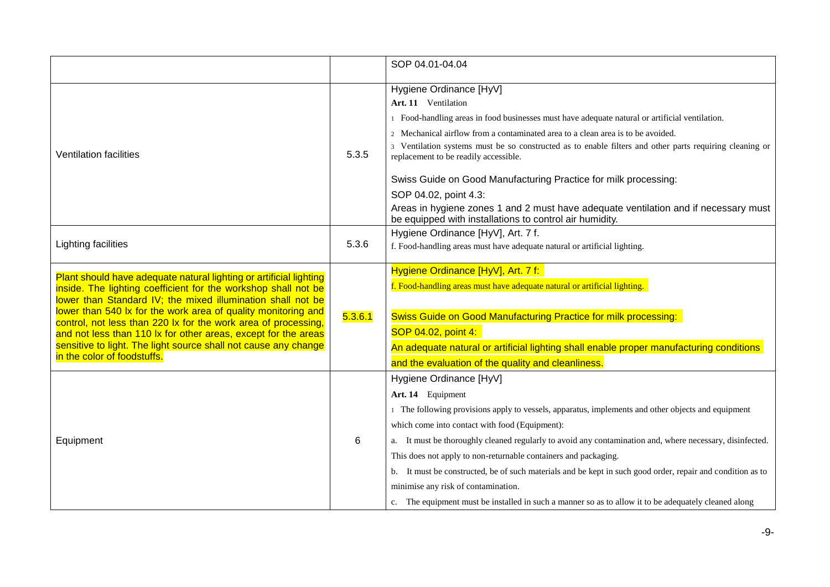|                                                                                                                                                                                                                                                                                                                                                                                                                                                                                                            |         | SOP 04.01-04.04                                                                                                                                                                                                                                                                                                                                                                                                                                                                                                                                                                                                                                  |
|------------------------------------------------------------------------------------------------------------------------------------------------------------------------------------------------------------------------------------------------------------------------------------------------------------------------------------------------------------------------------------------------------------------------------------------------------------------------------------------------------------|---------|--------------------------------------------------------------------------------------------------------------------------------------------------------------------------------------------------------------------------------------------------------------------------------------------------------------------------------------------------------------------------------------------------------------------------------------------------------------------------------------------------------------------------------------------------------------------------------------------------------------------------------------------------|
| <b>Ventilation facilities</b>                                                                                                                                                                                                                                                                                                                                                                                                                                                                              | 5.3.5   | Hygiene Ordinance [HyV]<br>Art. 11 Ventilation<br>1 Food-handling areas in food businesses must have adequate natural or artificial ventilation.<br>2 Mechanical airflow from a contaminated area to a clean area is to be avoided.<br>3 Ventilation systems must be so constructed as to enable filters and other parts requiring cleaning or<br>replacement to be readily accessible.<br>Swiss Guide on Good Manufacturing Practice for milk processing:<br>SOP 04.02, point 4.3:<br>Areas in hygiene zones 1 and 2 must have adequate ventilation and if necessary must<br>be equipped with installations to control air humidity.            |
| Lighting facilities                                                                                                                                                                                                                                                                                                                                                                                                                                                                                        | 5.3.6   | Hygiene Ordinance [HyV], Art. 7 f.<br>f. Food-handling areas must have adequate natural or artificial lighting.                                                                                                                                                                                                                                                                                                                                                                                                                                                                                                                                  |
| Plant should have adequate natural lighting or artificial lighting<br>inside. The lighting coefficient for the workshop shall not be<br>lower than Standard IV; the mixed illumination shall not be<br>lower than 540 lx for the work area of quality monitoring and<br>control, not less than 220 lx for the work area of processing,<br>and not less than 110 lx for other areas, except for the areas<br>sensitive to light. The light source shall not cause any change<br>in the color of foodstuffs. | 5.3.6.1 | Hygiene Ordinance [HyV], Art. 7 f:<br>f. Food-handling areas must have adequate natural or artificial lighting.<br><b>Swiss Guide on Good Manufacturing Practice for milk processing:</b><br>SOP 04.02, point 4:<br>An adequate natural or artificial lighting shall enable proper manufacturing conditions<br>and the evaluation of the quality and cleanliness.                                                                                                                                                                                                                                                                                |
| Equipment                                                                                                                                                                                                                                                                                                                                                                                                                                                                                                  | 6       | Hygiene Ordinance [HyV]<br>Art. 14 Equipment<br>1 The following provisions apply to vessels, apparatus, implements and other objects and equipment<br>which come into contact with food (Equipment):<br>a. It must be thoroughly cleaned regularly to avoid any contamination and, where necessary, disinfected.<br>This does not apply to non-returnable containers and packaging.<br>b. It must be constructed, be of such materials and be kept in such good order, repair and condition as to<br>minimise any risk of contamination.<br>c. The equipment must be installed in such a manner so as to allow it to be adequately cleaned along |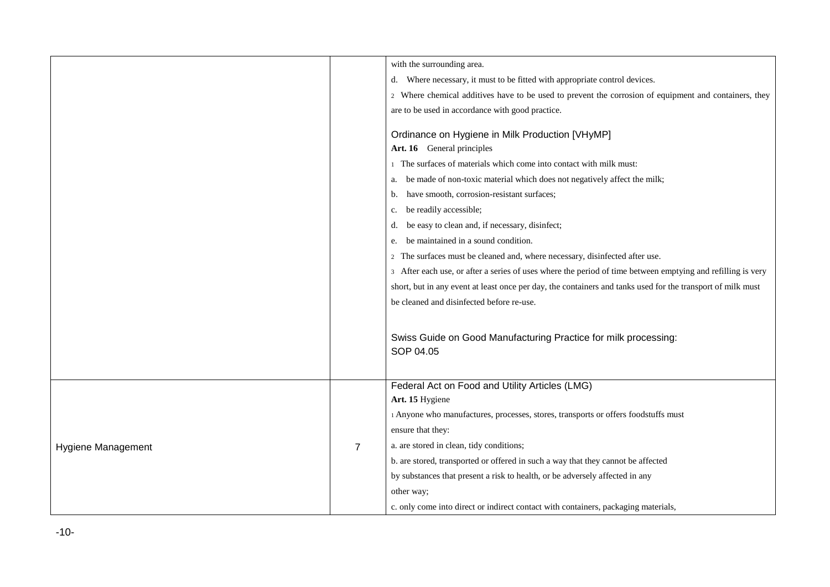|                           |                | with the surrounding area.                                                                                  |
|---------------------------|----------------|-------------------------------------------------------------------------------------------------------------|
|                           |                | Where necessary, it must to be fitted with appropriate control devices.<br>d.                               |
|                           |                | 2 Where chemical additives have to be used to prevent the corrosion of equipment and containers, they       |
|                           |                | are to be used in accordance with good practice.                                                            |
|                           |                | Ordinance on Hygiene in Milk Production [VHyMP]<br>Art. 16 General principles                               |
|                           |                | 1 The surfaces of materials which come into contact with milk must:                                         |
|                           |                | be made of non-toxic material which does not negatively affect the milk;<br>a.                              |
|                           |                | have smooth, corrosion-resistant surfaces;<br>b.                                                            |
|                           |                | be readily accessible;<br>c.                                                                                |
|                           |                | be easy to clean and, if necessary, disinfect;<br>d.                                                        |
|                           |                | be maintained in a sound condition.<br>e.                                                                   |
|                           |                | The surfaces must be cleaned and, where necessary, disinfected after use.<br>2                              |
|                           |                | 3 After each use, or after a series of uses where the period of time between emptying and refilling is very |
|                           |                | short, but in any event at least once per day, the containers and tanks used for the transport of milk must |
|                           |                | be cleaned and disinfected before re-use.                                                                   |
|                           |                |                                                                                                             |
|                           |                | Swiss Guide on Good Manufacturing Practice for milk processing:<br>SOP 04.05                                |
|                           |                | Federal Act on Food and Utility Articles (LMG)                                                              |
|                           |                | Art. 15 Hygiene                                                                                             |
|                           |                | 1 Anyone who manufactures, processes, stores, transports or offers foodstuffs must                          |
|                           |                | ensure that they:                                                                                           |
| <b>Hygiene Management</b> | $\overline{7}$ | a. are stored in clean, tidy conditions;                                                                    |
|                           |                | b. are stored, transported or offered in such a way that they cannot be affected                            |
|                           |                | by substances that present a risk to health, or be adversely affected in any                                |
|                           |                | other way;                                                                                                  |
|                           |                | c. only come into direct or indirect contact with containers, packaging materials,                          |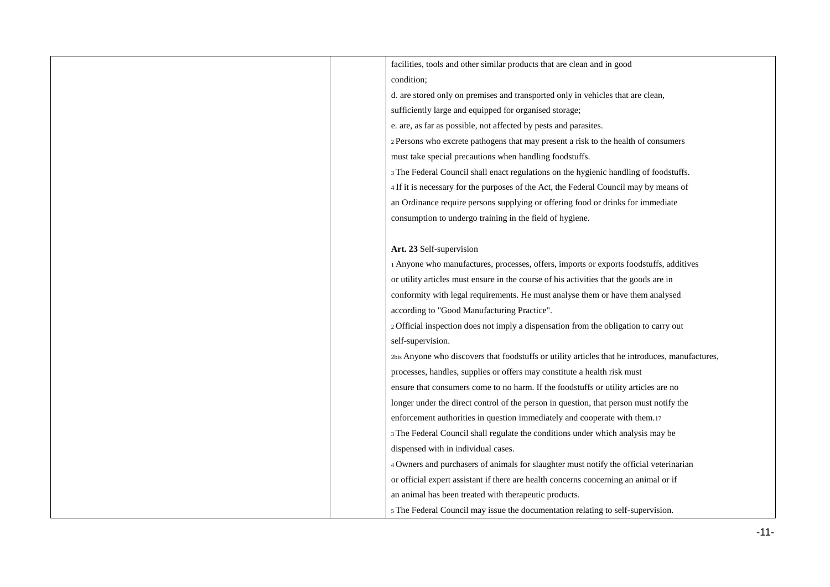| facilities, tools and other similar products that are clean and in good                         |
|-------------------------------------------------------------------------------------------------|
| condition;                                                                                      |
| d. are stored only on premises and transported only in vehicles that are clean,                 |
| sufficiently large and equipped for organised storage;                                          |
| e. are, as far as possible, not affected by pests and parasites.                                |
| 2 Persons who excrete pathogens that may present a risk to the health of consumers              |
| must take special precautions when handling foodstuffs.                                         |
| 3 The Federal Council shall enact regulations on the hygienic handling of foodstuffs.           |
| 4 If it is necessary for the purposes of the Act, the Federal Council may by means of           |
| an Ordinance require persons supplying or offering food or drinks for immediate                 |
| consumption to undergo training in the field of hygiene.                                        |
|                                                                                                 |
| Art. 23 Self-supervision                                                                        |
| 1 Anyone who manufactures, processes, offers, imports or exports foodstuffs, additives          |
| or utility articles must ensure in the course of his activities that the goods are in           |
| conformity with legal requirements. He must analyse them or have them analysed                  |
| according to "Good Manufacturing Practice".                                                     |
| 2 Official inspection does not imply a dispensation from the obligation to carry out            |
| self-supervision.                                                                               |
| 2bis Anyone who discovers that foodstuffs or utility articles that he introduces, manufactures, |
| processes, handles, supplies or offers may constitute a health risk must                        |
| ensure that consumers come to no harm. If the foodstuffs or utility articles are no             |
| longer under the direct control of the person in question, that person must notify the          |
| enforcement authorities in question immediately and cooperate with them.17                      |
| 3 The Federal Council shall regulate the conditions under which analysis may be                 |
| dispensed with in individual cases.                                                             |
| 4 Owners and purchasers of animals for slaughter must notify the official veterinarian          |
| or official expert assistant if there are health concerns concerning an animal or if            |
| an animal has been treated with therapeutic products.                                           |
| 5 The Federal Council may issue the documentation relating to self-supervision.                 |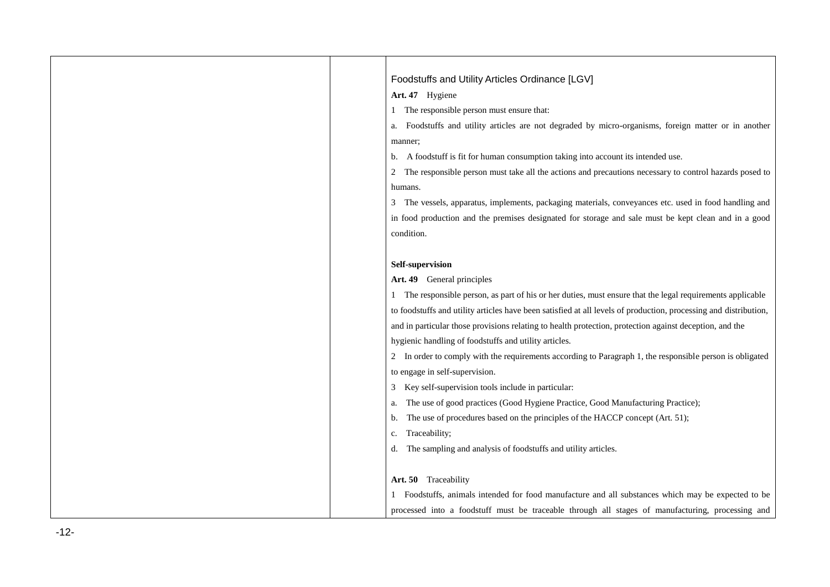| Foodstuffs and Utility Articles Ordinance [LGV]                                                                  |
|------------------------------------------------------------------------------------------------------------------|
| Art. 47 Hygiene                                                                                                  |
| The responsible person must ensure that:                                                                         |
| Foodstuffs and utility articles are not degraded by micro-organisms, foreign matter or in another<br>a.          |
| manner;                                                                                                          |
| A foodstuff is fit for human consumption taking into account its intended use.<br>b.                             |
| The responsible person must take all the actions and precautions necessary to control hazards posed to<br>2      |
| humans.                                                                                                          |
| The vessels, apparatus, implements, packaging materials, conveyances etc. used in food handling and<br>3         |
| in food production and the premises designated for storage and sale must be kept clean and in a good             |
| condition.                                                                                                       |
|                                                                                                                  |
| Self-supervision                                                                                                 |
| Art. 49 General principles                                                                                       |
| The responsible person, as part of his or her duties, must ensure that the legal requirements applicable         |
| to foodstuffs and utility articles have been satisfied at all levels of production, processing and distribution, |
| and in particular those provisions relating to health protection, protection against deception, and the          |
| hygienic handling of foodstuffs and utility articles.                                                            |
| In order to comply with the requirements according to Paragraph 1, the responsible person is obligated<br>2      |
| to engage in self-supervision.                                                                                   |
| Key self-supervision tools include in particular:<br>3                                                           |
| The use of good practices (Good Hygiene Practice, Good Manufacturing Practice);<br>a.                            |
| The use of procedures based on the principles of the HACCP concept (Art. 51);<br>b.                              |
| Traceability;<br>c.                                                                                              |
| The sampling and analysis of foodstuffs and utility articles.<br>d.                                              |
|                                                                                                                  |
| Art. 50 Traceability                                                                                             |
| Foodstuffs, animals intended for food manufacture and all substances which may be expected to be                 |
| processed into a foodstuff must be traceable through all stages of manufacturing, processing and                 |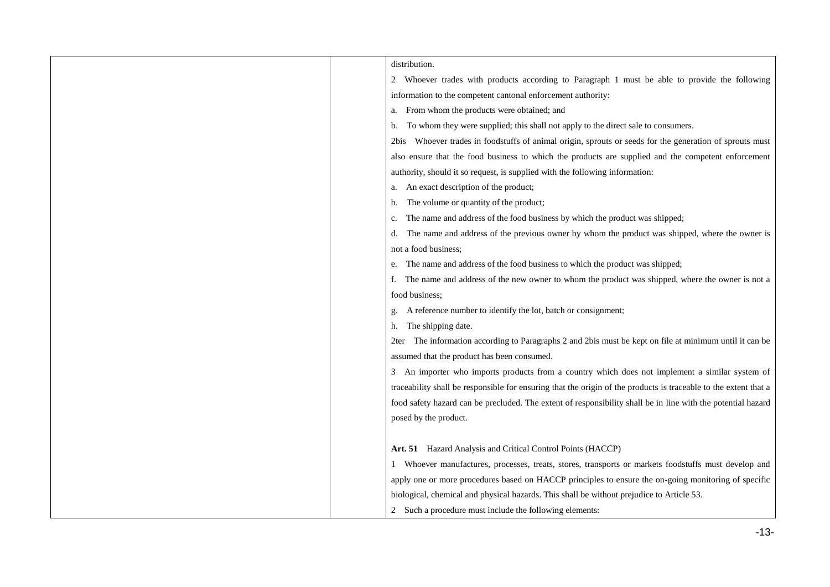| distribution.                                                                                                    |
|------------------------------------------------------------------------------------------------------------------|
| 2 Whoever trades with products according to Paragraph 1 must be able to provide the following                    |
| information to the competent cantonal enforcement authority:                                                     |
| From whom the products were obtained; and<br>a.                                                                  |
| To whom they were supplied; this shall not apply to the direct sale to consumers.<br>b.                          |
| Whoever trades in foodstuffs of animal origin, sprouts or seeds for the generation of sprouts must<br>2bis       |
| also ensure that the food business to which the products are supplied and the competent enforcement              |
| authority, should it so request, is supplied with the following information:                                     |
| An exact description of the product;<br>a.                                                                       |
| The volume or quantity of the product;<br>b.                                                                     |
| The name and address of the food business by which the product was shipped;<br>c.                                |
| The name and address of the previous owner by whom the product was shipped, where the owner is<br>d.             |
| not a food business;                                                                                             |
| The name and address of the food business to which the product was shipped;<br>e.                                |
| The name and address of the new owner to whom the product was shipped, where the owner is not a<br>t.            |
| food business:                                                                                                   |
| A reference number to identify the lot, batch or consignment;                                                    |
| The shipping date.<br>h.                                                                                         |
| The information according to Paragraphs 2 and 2bis must be kept on file at minimum until it can be<br>2ter       |
| assumed that the product has been consumed.                                                                      |
| 3 An importer who imports products from a country which does not implement a similar system of                   |
| traceability shall be responsible for ensuring that the origin of the products is traceable to the extent that a |
| food safety hazard can be precluded. The extent of responsibility shall be in line with the potential hazard     |
| posed by the product.                                                                                            |
|                                                                                                                  |
| Art. 51 Hazard Analysis and Critical Control Points (HACCP)                                                      |
| Whoever manufactures, processes, treats, stores, transports or markets foodstuffs must develop and               |
| apply one or more procedures based on HACCP principles to ensure the on-going monitoring of specific             |
| biological, chemical and physical hazards. This shall be without prejudice to Article 53.                        |
| 2 Such a procedure must include the following elements:                                                          |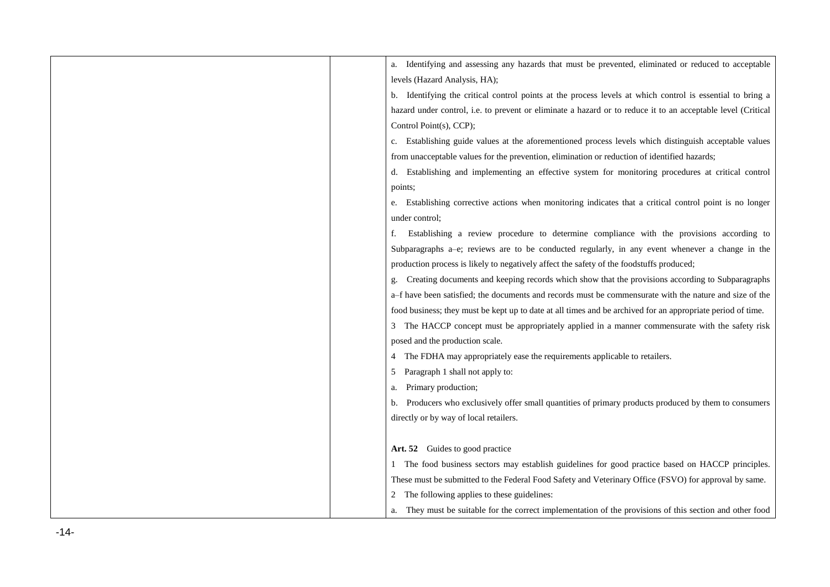| Identifying and assessing any hazards that must be prevented, eliminated or reduced to acceptable            |
|--------------------------------------------------------------------------------------------------------------|
| levels (Hazard Analysis, HA);                                                                                |
| Identifying the critical control points at the process levels at which control is essential to bring a<br>b. |
| hazard under control, i.e. to prevent or eliminate a hazard or to reduce it to an acceptable level (Critical |
| Control Point(s), CCP);                                                                                      |
| Establishing guide values at the aforementioned process levels which distinguish acceptable values           |
| from unacceptable values for the prevention, elimination or reduction of identified hazards;                 |
| Establishing and implementing an effective system for monitoring procedures at critical control<br>d.        |
| points;                                                                                                      |
| Establishing corrective actions when monitoring indicates that a critical control point is no longer<br>e.   |
| under control;                                                                                               |
| Establishing a review procedure to determine compliance with the provisions according to                     |
| Subparagraphs a-e; reviews are to be conducted regularly, in any event whenever a change in the              |
| production process is likely to negatively affect the safety of the foodstuffs produced;                     |
| Creating documents and keeping records which show that the provisions according to Subparagraphs             |
| a-f have been satisfied; the documents and records must be commensurate with the nature and size of the      |
| food business; they must be kept up to date at all times and be archived for an appropriate period of time.  |
| The HACCP concept must be appropriately applied in a manner commensurate with the safety risk                |
| posed and the production scale.                                                                              |
| The FDHA may appropriately ease the requirements applicable to retailers.                                    |
| Paragraph 1 shall not apply to:                                                                              |
| Primary production;<br>a.                                                                                    |
| Producers who exclusively offer small quantities of primary products produced by them to consumers<br>b.     |
| directly or by way of local retailers.                                                                       |
|                                                                                                              |
| Art. 52 Guides to good practice                                                                              |
| 1 The food business sectors may establish guidelines for good practice based on HACCP principles.            |
| These must be submitted to the Federal Food Safety and Veterinary Office (FSVO) for approval by same.        |
| The following applies to these guidelines:                                                                   |
| They must be suitable for the correct implementation of the provisions of this section and other food        |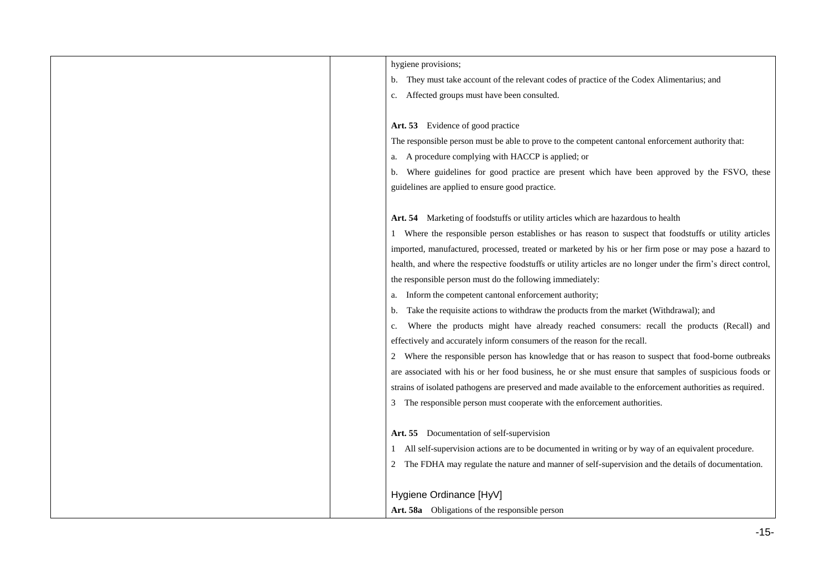| hygiene provisions;                                                                                            |
|----------------------------------------------------------------------------------------------------------------|
| b. They must take account of the relevant codes of practice of the Codex Alimentarius; and                     |
| Affected groups must have been consulted.<br>c.                                                                |
|                                                                                                                |
| Art. 53 Evidence of good practice                                                                              |
| The responsible person must be able to prove to the competent cantonal enforcement authority that:             |
| A procedure complying with HACCP is applied; or<br>a.                                                          |
| Where guidelines for good practice are present which have been approved by the FSVO, these<br>b.               |
| guidelines are applied to ensure good practice.                                                                |
|                                                                                                                |
| Art. 54 Marketing of foodstuffs or utility articles which are hazardous to health                              |
| Where the responsible person establishes or has reason to suspect that foodstuffs or utility articles          |
| imported, manufactured, processed, treated or marketed by his or her firm pose or may pose a hazard to         |
| health, and where the respective foodstuffs or utility articles are no longer under the firm's direct control, |
| the responsible person must do the following immediately:                                                      |
| Inform the competent cantonal enforcement authority;<br>а.                                                     |
| Take the requisite actions to withdraw the products from the market (Withdrawal); and<br>b.                    |
| Where the products might have already reached consumers: recall the products (Recall) and<br>c.                |
| effectively and accurately inform consumers of the reason for the recall.                                      |
| 2 Where the responsible person has knowledge that or has reason to suspect that food-borne outbreaks           |
| are associated with his or her food business, he or she must ensure that samples of suspicious foods or        |
| strains of isolated pathogens are preserved and made available to the enforcement authorities as required.     |
| 3 The responsible person must cooperate with the enforcement authorities.                                      |
|                                                                                                                |
| Art. 55 Documentation of self-supervision                                                                      |
| 1 All self-supervision actions are to be documented in writing or by way of an equivalent procedure.           |
| 2 The FDHA may regulate the nature and manner of self-supervision and the details of documentation.            |
|                                                                                                                |
| Hygiene Ordinance [HyV]                                                                                        |
| Art. 58a Obligations of the responsible person                                                                 |
|                                                                                                                |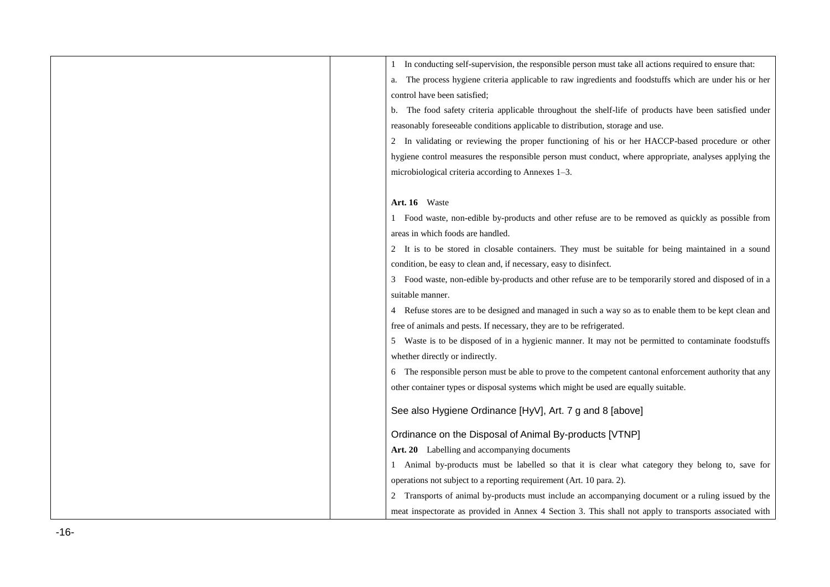| 1 In conducting self-supervision, the responsible person must take all actions required to ensure that:    |
|------------------------------------------------------------------------------------------------------------|
| The process hygiene criteria applicable to raw ingredients and foodstuffs which are under his or her<br>a. |
| control have been satisfied;                                                                               |
| b. The food safety criteria applicable throughout the shelf-life of products have been satisfied under     |
| reasonably foreseeable conditions applicable to distribution, storage and use.                             |
| 2 In validating or reviewing the proper functioning of his or her HACCP-based procedure or other           |
| hygiene control measures the responsible person must conduct, where appropriate, analyses applying the     |
| microbiological criteria according to Annexes 1-3.                                                         |
|                                                                                                            |
| Art. 16 Waste                                                                                              |
| 1 Food waste, non-edible by-products and other refuse are to be removed as quickly as possible from        |
| areas in which foods are handled.                                                                          |
| 2 It is to be stored in closable containers. They must be suitable for being maintained in a sound         |
| condition, be easy to clean and, if necessary, easy to disinfect.                                          |
| 3 Food waste, non-edible by-products and other refuse are to be temporarily stored and disposed of in a    |
| suitable manner.                                                                                           |
| 4 Refuse stores are to be designed and managed in such a way so as to enable them to be kept clean and     |
| free of animals and pests. If necessary, they are to be refrigerated.                                      |
| 5 Waste is to be disposed of in a hygienic manner. It may not be permitted to contaminate foodstuffs       |
| whether directly or indirectly.                                                                            |
| 6 The responsible person must be able to prove to the competent cantonal enforcement authority that any    |
| other container types or disposal systems which might be used are equally suitable.                        |
| See also Hygiene Ordinance [HyV], Art. 7 g and 8 [above]                                                   |
|                                                                                                            |
| Ordinance on the Disposal of Animal By-products [VTNP]                                                     |
| Art. 20 Labelling and accompanying documents                                                               |
| 1 Animal by-products must be labelled so that it is clear what category they belong to, save for           |
| operations not subject to a reporting requirement (Art. 10 para. 2).                                       |
| Transports of animal by-products must include an accompanying document or a ruling issued by the           |
| meat inspectorate as provided in Annex 4 Section 3. This shall not apply to transports associated with     |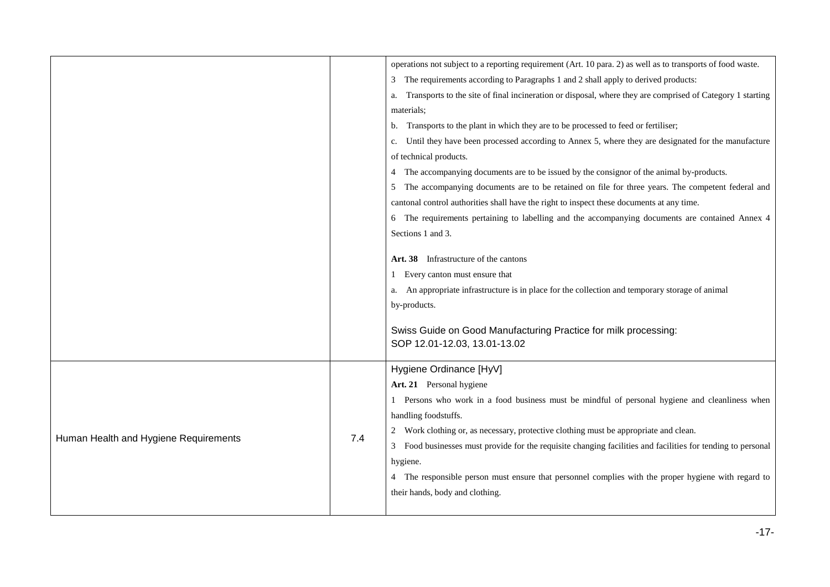|                                       |     | operations not subject to a reporting requirement (Art. 10 para. 2) as well as to transports of food waste.                                                                                                                                                                                           |
|---------------------------------------|-----|-------------------------------------------------------------------------------------------------------------------------------------------------------------------------------------------------------------------------------------------------------------------------------------------------------|
|                                       |     |                                                                                                                                                                                                                                                                                                       |
|                                       |     | The requirements according to Paragraphs 1 and 2 shall apply to derived products:<br>3                                                                                                                                                                                                                |
|                                       |     | Transports to the site of final incineration or disposal, where they are comprised of Category 1 starting<br>a.                                                                                                                                                                                       |
|                                       |     | materials;                                                                                                                                                                                                                                                                                            |
|                                       |     | Transports to the plant in which they are to be processed to feed or fertiliser;<br>b.                                                                                                                                                                                                                |
|                                       |     | Until they have been processed according to Annex 5, where they are designated for the manufacture<br>c.                                                                                                                                                                                              |
|                                       |     | of technical products.                                                                                                                                                                                                                                                                                |
|                                       |     | The accompanying documents are to be issued by the consignor of the animal by-products.<br>4                                                                                                                                                                                                          |
|                                       |     | The accompanying documents are to be retained on file for three years. The competent federal and                                                                                                                                                                                                      |
|                                       |     | cantonal control authorities shall have the right to inspect these documents at any time.                                                                                                                                                                                                             |
|                                       |     | 6 The requirements pertaining to labelling and the accompanying documents are contained Annex 4                                                                                                                                                                                                       |
|                                       |     | Sections 1 and 3.                                                                                                                                                                                                                                                                                     |
|                                       |     | Art. 38 Infrastructure of the cantons<br>Every canton must ensure that<br>1.<br>An appropriate infrastructure is in place for the collection and temporary storage of animal<br>a.<br>by-products.<br>Swiss Guide on Good Manufacturing Practice for milk processing:<br>SOP 12.01-12.03, 13.01-13.02 |
|                                       |     | Hygiene Ordinance [HyV]                                                                                                                                                                                                                                                                               |
|                                       |     | Art. 21 Personal hygiene                                                                                                                                                                                                                                                                              |
|                                       |     | 1 Persons who work in a food business must be mindful of personal hygiene and cleanliness when                                                                                                                                                                                                        |
| Human Health and Hygiene Requirements |     | handling foodstuffs.                                                                                                                                                                                                                                                                                  |
|                                       |     | Work clothing or, as necessary, protective clothing must be appropriate and clean.                                                                                                                                                                                                                    |
|                                       | 7.4 | Food businesses must provide for the requisite changing facilities and facilities for tending to personal<br>3                                                                                                                                                                                        |
|                                       |     | hygiene.                                                                                                                                                                                                                                                                                              |
|                                       |     | 4 The responsible person must ensure that personnel complies with the proper hygiene with regard to                                                                                                                                                                                                   |
|                                       |     | their hands, body and clothing.                                                                                                                                                                                                                                                                       |
|                                       |     |                                                                                                                                                                                                                                                                                                       |
|                                       |     |                                                                                                                                                                                                                                                                                                       |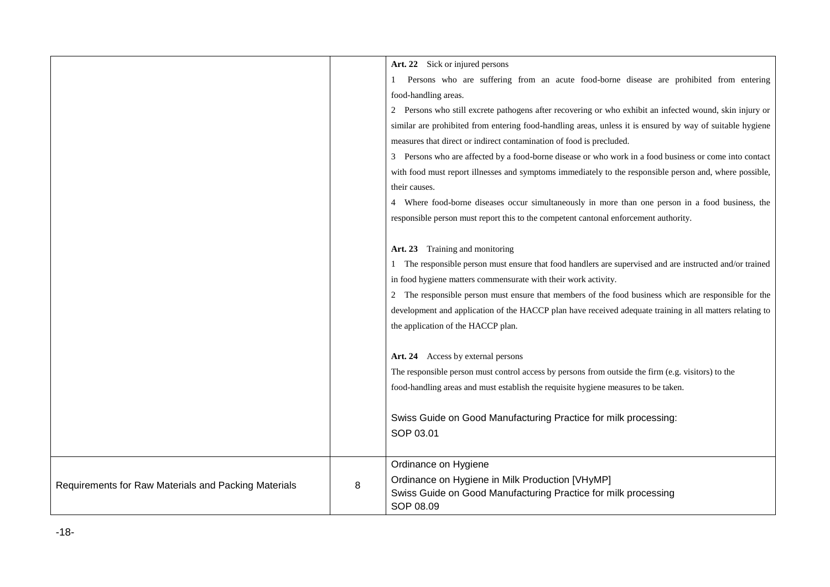|                                                      |   | Art. 22 Sick or injured persons                                                                           |
|------------------------------------------------------|---|-----------------------------------------------------------------------------------------------------------|
|                                                      |   | Persons who are suffering from an acute food-borne disease are prohibited from entering                   |
|                                                      |   | food-handling areas.                                                                                      |
|                                                      |   | 2 Persons who still excrete pathogens after recovering or who exhibit an infected wound, skin injury or   |
|                                                      |   | similar are prohibited from entering food-handling areas, unless it is ensured by way of suitable hygiene |
|                                                      |   | measures that direct or indirect contamination of food is precluded.                                      |
|                                                      |   | Persons who are affected by a food-borne disease or who work in a food business or come into contact<br>3 |
|                                                      |   | with food must report illnesses and symptoms immediately to the responsible person and, where possible,   |
|                                                      |   | their causes.                                                                                             |
|                                                      |   | 4 Where food-borne diseases occur simultaneously in more than one person in a food business, the          |
|                                                      |   | responsible person must report this to the competent cantonal enforcement authority.                      |
|                                                      |   |                                                                                                           |
|                                                      |   | Art. 23 Training and monitoring                                                                           |
|                                                      |   | 1 The responsible person must ensure that food handlers are supervised and are instructed and/or trained  |
|                                                      |   | in food hygiene matters commensurate with their work activity.                                            |
|                                                      |   | 2 The responsible person must ensure that members of the food business which are responsible for the      |
|                                                      |   | development and application of the HACCP plan have received adequate training in all matters relating to  |
|                                                      |   | the application of the HACCP plan.                                                                        |
|                                                      |   |                                                                                                           |
|                                                      |   | Art. 24 Access by external persons                                                                        |
|                                                      |   | The responsible person must control access by persons from outside the firm (e.g. visitors) to the        |
|                                                      |   | food-handling areas and must establish the requisite hygiene measures to be taken.                        |
|                                                      |   |                                                                                                           |
|                                                      |   | Swiss Guide on Good Manufacturing Practice for milk processing:                                           |
|                                                      |   | SOP 03.01                                                                                                 |
|                                                      |   |                                                                                                           |
|                                                      |   | Ordinance on Hygiene                                                                                      |
| Requirements for Raw Materials and Packing Materials | 8 | Ordinance on Hygiene in Milk Production [VHyMP]                                                           |
|                                                      |   | Swiss Guide on Good Manufacturing Practice for milk processing                                            |
|                                                      |   | SOP 08.09                                                                                                 |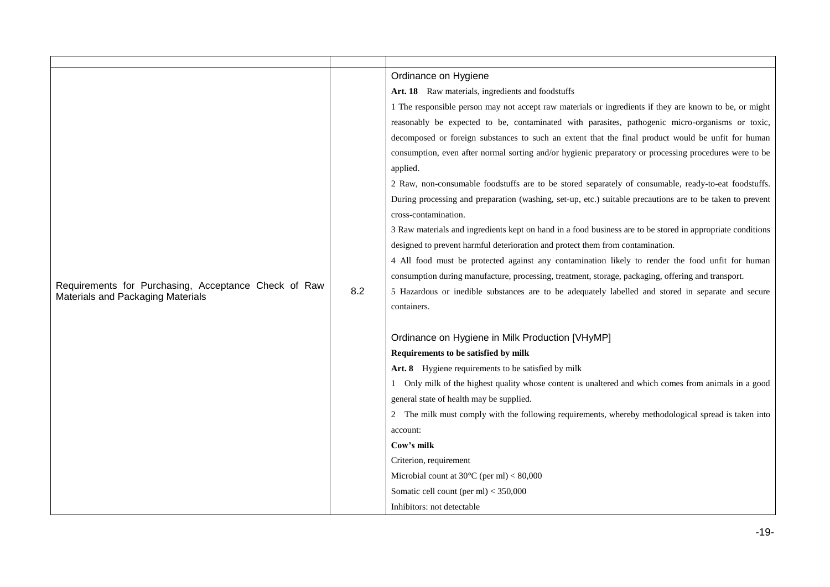|                                                                                           |     | Ordinance on Hygiene                                                                                       |
|-------------------------------------------------------------------------------------------|-----|------------------------------------------------------------------------------------------------------------|
|                                                                                           |     | Art. 18 Raw materials, ingredients and foodstuffs                                                          |
|                                                                                           |     | 1 The responsible person may not accept raw materials or ingredients if they are known to be, or might     |
|                                                                                           |     | reasonably be expected to be, contaminated with parasites, pathogenic micro-organisms or toxic,            |
|                                                                                           |     | decomposed or foreign substances to such an extent that the final product would be unfit for human         |
|                                                                                           |     | consumption, even after normal sorting and/or hygienic preparatory or processing procedures were to be     |
|                                                                                           |     | applied.                                                                                                   |
|                                                                                           |     | 2 Raw, non-consumable foodstuffs are to be stored separately of consumable, ready-to-eat foodstuffs.       |
|                                                                                           |     | During processing and preparation (washing, set-up, etc.) suitable precautions are to be taken to prevent  |
|                                                                                           |     | cross-contamination.                                                                                       |
|                                                                                           |     | 3 Raw materials and ingredients kept on hand in a food business are to be stored in appropriate conditions |
|                                                                                           |     | designed to prevent harmful deterioration and protect them from contamination.                             |
|                                                                                           |     | 4 All food must be protected against any contamination likely to render the food unfit for human           |
|                                                                                           | 8.2 | consumption during manufacture, processing, treatment, storage, packaging, offering and transport.         |
| Requirements for Purchasing, Acceptance Check of Raw<br>Materials and Packaging Materials |     | 5 Hazardous or inedible substances are to be adequately labelled and stored in separate and secure         |
|                                                                                           |     | containers.                                                                                                |
|                                                                                           |     |                                                                                                            |
|                                                                                           |     | Ordinance on Hygiene in Milk Production [VHyMP]                                                            |
|                                                                                           |     | Requirements to be satisfied by milk                                                                       |
|                                                                                           |     | Art. 8 Hygiene requirements to be satisfied by milk                                                        |
|                                                                                           |     | 1 Only milk of the highest quality whose content is unaltered and which comes from animals in a good       |
|                                                                                           |     | general state of health may be supplied.                                                                   |
|                                                                                           |     | 2 The milk must comply with the following requirements, whereby methodological spread is taken into        |
|                                                                                           |     | account:                                                                                                   |
|                                                                                           |     | Cow's milk                                                                                                 |
|                                                                                           |     | Criterion, requirement                                                                                     |
|                                                                                           |     | Microbial count at $30^{\circ}$ C (per ml) < $80,000$                                                      |
|                                                                                           |     | Somatic cell count (per ml) < 350,000                                                                      |
|                                                                                           |     | Inhibitors: not detectable                                                                                 |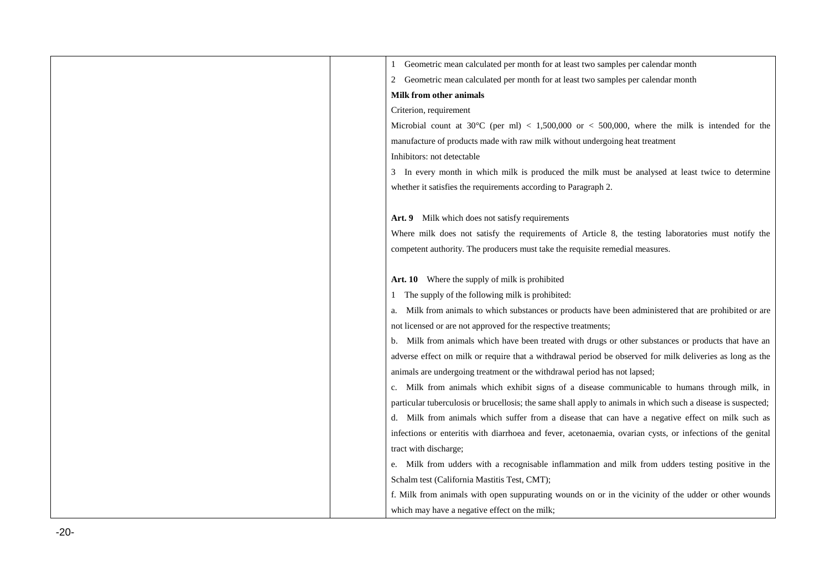| Geometric mean calculated per month for at least two samples per calendar month                               |
|---------------------------------------------------------------------------------------------------------------|
| Geometric mean calculated per month for at least two samples per calendar month                               |
| <b>Milk from other animals</b>                                                                                |
| Criterion, requirement                                                                                        |
| Microbial count at 30°C (per ml) < 1,500,000 or < 500,000, where the milk is intended for the                 |
| manufacture of products made with raw milk without undergoing heat treatment                                  |
| Inhibitors: not detectable                                                                                    |
| 3 In every month in which milk is produced the milk must be analysed at least twice to determine              |
| whether it satisfies the requirements according to Paragraph 2.                                               |
|                                                                                                               |
| Art. 9 Milk which does not satisfy requirements                                                               |
| Where milk does not satisfy the requirements of Article 8, the testing laboratories must notify the           |
| competent authority. The producers must take the requisite remedial measures.                                 |
|                                                                                                               |
| Art. 10 Where the supply of milk is prohibited                                                                |
| The supply of the following milk is prohibited:                                                               |
| Milk from animals to which substances or products have been administered that are prohibited or are<br>a.     |
| not licensed or are not approved for the respective treatments;                                               |
| b. Milk from animals which have been treated with drugs or other substances or products that have an          |
| adverse effect on milk or require that a withdrawal period be observed for milk deliveries as long as the     |
| animals are undergoing treatment or the withdrawal period has not lapsed;                                     |
| c. Milk from animals which exhibit signs of a disease communicable to humans through milk, in                 |
| particular tuberculosis or brucellosis; the same shall apply to animals in which such a disease is suspected; |
| d. Milk from animals which suffer from a disease that can have a negative effect on milk such as              |
| infections or enteritis with diarrhoea and fever, acetonaemia, ovarian cysts, or infections of the genital    |
| tract with discharge;                                                                                         |
| e. Milk from udders with a recognisable inflammation and milk from udders testing positive in the             |
| Schalm test (California Mastitis Test, CMT);                                                                  |
| f. Milk from animals with open suppurating wounds on or in the vicinity of the udder or other wounds          |
| which may have a negative effect on the milk;                                                                 |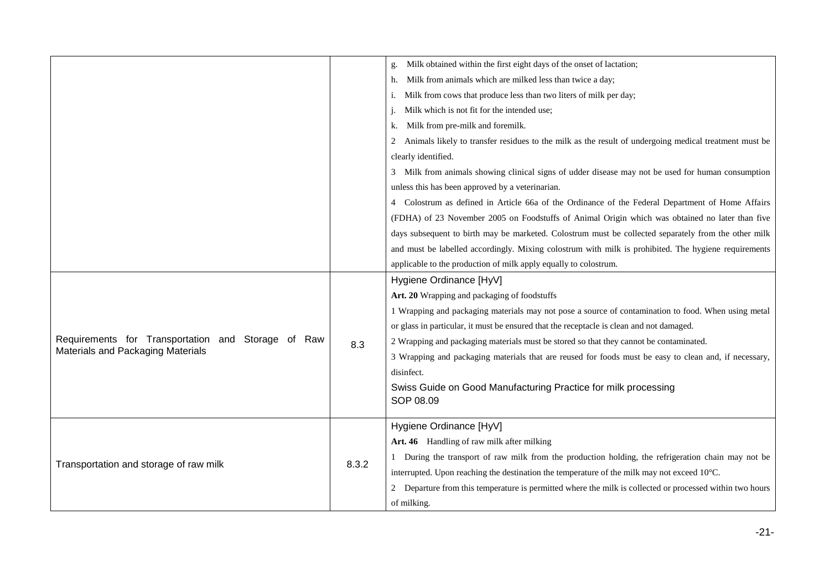|                                                       |       | Milk obtained within the first eight days of the onset of lactation;                                     |
|-------------------------------------------------------|-------|----------------------------------------------------------------------------------------------------------|
|                                                       |       | Milk from animals which are milked less than twice a day;                                                |
|                                                       |       | Milk from cows that produce less than two liters of milk per day;<br>1.                                  |
|                                                       |       | Milk which is not fit for the intended use;                                                              |
|                                                       |       | Milk from pre-milk and foremilk.<br>k.                                                                   |
|                                                       |       | Animals likely to transfer residues to the milk as the result of undergoing medical treatment must be    |
|                                                       |       | clearly identified.                                                                                      |
|                                                       |       | 3 Milk from animals showing clinical signs of udder disease may not be used for human consumption        |
|                                                       |       | unless this has been approved by a veterinarian.                                                         |
|                                                       |       | 4 Colostrum as defined in Article 66a of the Ordinance of the Federal Department of Home Affairs         |
|                                                       |       | (FDHA) of 23 November 2005 on Foodstuffs of Animal Origin which was obtained no later than five          |
|                                                       |       | days subsequent to birth may be marketed. Colostrum must be collected separately from the other milk     |
|                                                       |       | and must be labelled accordingly. Mixing colostrum with milk is prohibited. The hygiene requirements     |
|                                                       |       | applicable to the production of milk apply equally to colostrum.                                         |
|                                                       | 8.3   | Hygiene Ordinance [HyV]                                                                                  |
|                                                       |       | Art. 20 Wrapping and packaging of foodstuffs                                                             |
|                                                       |       | 1 Wrapping and packaging materials may not pose a source of contamination to food. When using metal      |
|                                                       |       | or glass in particular, it must be ensured that the receptacle is clean and not damaged.                 |
| Requirements for Transportation<br>and Storage of Raw |       | 2 Wrapping and packaging materials must be stored so that they cannot be contaminated.                   |
| Materials and Packaging Materials                     |       | 3 Wrapping and packaging materials that are reused for foods must be easy to clean and, if necessary,    |
|                                                       |       | disinfect.                                                                                               |
|                                                       |       | Swiss Guide on Good Manufacturing Practice for milk processing                                           |
|                                                       |       | SOP 08.09                                                                                                |
|                                                       |       | Hygiene Ordinance [HyV]                                                                                  |
| Transportation and storage of raw milk                |       | Art. 46 Handling of raw milk after milking                                                               |
|                                                       | 8.3.2 | 1 During the transport of raw milk from the production holding, the refrigeration chain may not be       |
|                                                       |       | interrupted. Upon reaching the destination the temperature of the milk may not exceed 10°C.              |
|                                                       |       | 2 Departure from this temperature is permitted where the milk is collected or processed within two hours |
|                                                       |       | of milking.                                                                                              |
|                                                       |       |                                                                                                          |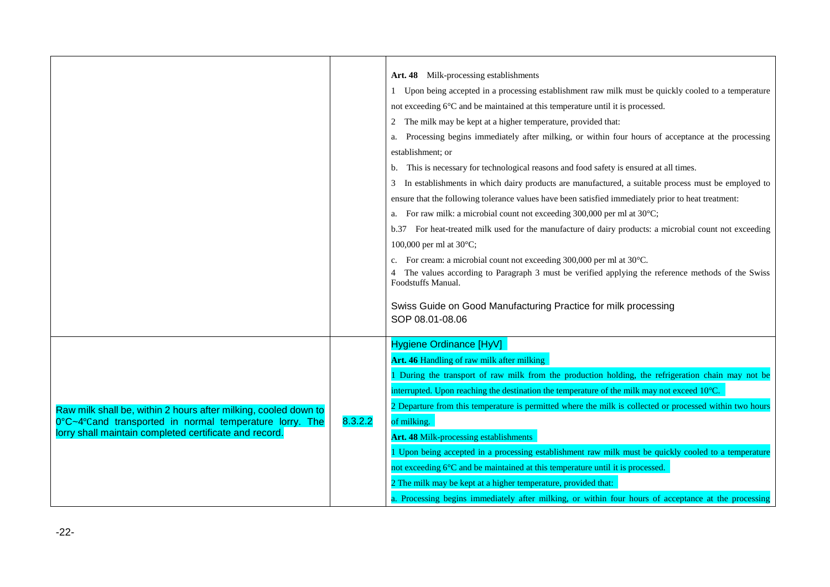|                                                                                                                                                                                      |         | Art. 48 Milk-processing establishments<br>Upon being accepted in a processing establishment raw milk must be quickly cooled to a temperature<br>not exceeding 6°C and be maintained at this temperature until it is processed.<br>The milk may be kept at a higher temperature, provided that:<br>2<br>Processing begins immediately after milking, or within four hours of acceptance at the processing<br>a.<br>establishment; or<br>This is necessary for technological reasons and food safety is ensured at all times.<br>b.<br>In establishments in which dairy products are manufactured, a suitable process must be employed to<br>3<br>ensure that the following tolerance values have been satisfied immediately prior to heat treatment:<br>a. For raw milk: a microbial count not exceeding $300,000$ per ml at $30^{\circ}$ C;<br>b.37 For heat-treated milk used for the manufacture of dairy products: a microbial count not exceeding<br>100,000 per ml at 30°C;<br>c. For cream: a microbial count not exceeding 300,000 per ml at 30°C.<br>4 The values according to Paragraph 3 must be verified applying the reference methods of the Swiss<br>Foodstuffs Manual.<br>Swiss Guide on Good Manufacturing Practice for milk processing<br>SOP 08.01-08.06 |
|--------------------------------------------------------------------------------------------------------------------------------------------------------------------------------------|---------|----------------------------------------------------------------------------------------------------------------------------------------------------------------------------------------------------------------------------------------------------------------------------------------------------------------------------------------------------------------------------------------------------------------------------------------------------------------------------------------------------------------------------------------------------------------------------------------------------------------------------------------------------------------------------------------------------------------------------------------------------------------------------------------------------------------------------------------------------------------------------------------------------------------------------------------------------------------------------------------------------------------------------------------------------------------------------------------------------------------------------------------------------------------------------------------------------------------------------------------------------------------------------|
| Raw milk shall be, within 2 hours after milking, cooled down to<br>0°C~4°Cand transported in normal temperature lorry. The<br>lorry shall maintain completed certificate and record. | 8.3.2.2 | Hygiene Ordinance [HyV]<br>Art. 46 Handling of raw milk after milking<br>During the transport of raw milk from the production holding, the refrigeration chain may not be<br>interrupted. Upon reaching the destination the temperature of the milk may not exceed 10°C.<br>2 Departure from this temperature is permitted where the milk is collected or processed within two hours<br>of milking.<br>Art. 48 Milk-processing establishments<br>1 Upon being accepted in a processing establishment raw milk must be quickly cooled to a temperature<br>not exceeding 6°C and be maintained at this temperature until it is processed.<br>2 The milk may be kept at a higher temperature, provided that:<br>a. Processing begins immediately after milking, or within four hours of acceptance at the processing                                                                                                                                                                                                                                                                                                                                                                                                                                                          |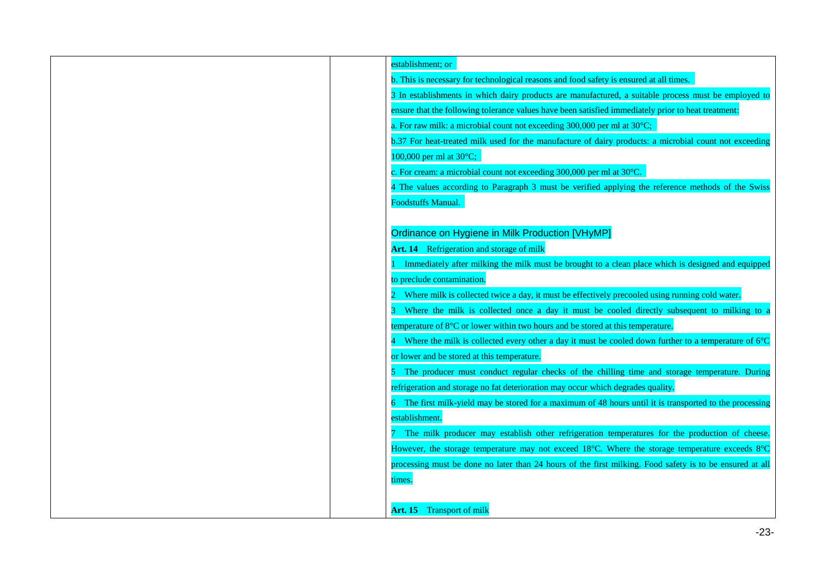| establishment; or                                                                                        |
|----------------------------------------------------------------------------------------------------------|
| b. This is necessary for technological reasons and food safety is ensured at all times.                  |
| 3 In establishments in which dairy products are manufactured, a suitable process must be employed to     |
| ensure that the following tolerance values have been satisfied immediately prior to heat treatment:      |
| a. For raw milk: a microbial count not exceeding 300,000 per ml at 30°C;                                 |
| b.37 For heat-treated milk used for the manufacture of dairy products: a microbial count not exceeding   |
| 100,000 per ml at 30°C;                                                                                  |
| c. For cream: a microbial count not exceeding 300,000 per ml at 30°C.                                    |
| 4 The values according to Paragraph 3 must be verified applying the reference methods of the Swiss       |
| <b>Foodstuffs Manual.</b>                                                                                |
|                                                                                                          |
| Ordinance on Hygiene in Milk Production [VHyMP]                                                          |
| Art. 14 Refrigeration and storage of milk                                                                |
| Immediately after milking the milk must be brought to a clean place which is designed and equipped       |
| to preclude contamination.                                                                               |
| Where milk is collected twice a day, it must be effectively precooled using running cold water.          |
| Where the milk is collected once a day it must be cooled directly subsequent to milking to a             |
| temperature of 8°C or lower within two hours and be stored at this temperature.                          |
| Where the milk is collected every other a day it must be cooled down further to a temperature of 6°C     |
| or lower and be stored at this temperature.                                                              |
| The producer must conduct regular checks of the chilling time and storage temperature. During            |
| refrigeration and storage no fat deterioration may occur which degrades quality.                         |
| 6 The first milk-yield may be stored for a maximum of 48 hours until it is transported to the processing |
| establishment.                                                                                           |
| The milk producer may establish other refrigeration temperatures for the production of cheese.           |
| However, the storage temperature may not exceed 18°C. Where the storage temperature exceeds 8°C          |
| processing must be done no later than 24 hours of the first milking. Food safety is to be ensured at all |
| times.                                                                                                   |
|                                                                                                          |
| <b>Art. 15</b> Transport of milk                                                                         |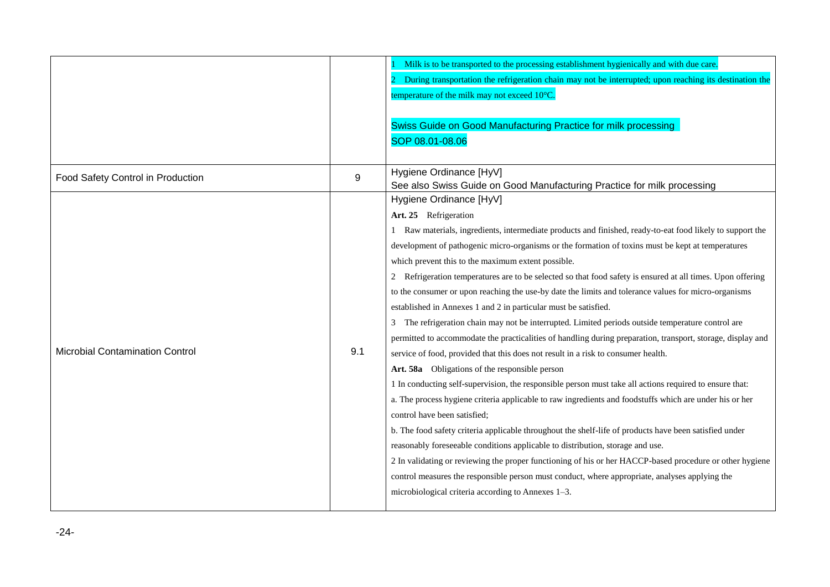|                                        |     | Milk is to be transported to the processing establishment hygienically and with due care.<br>During transportation the refrigeration chain may not be interrupted; upon reaching its destination the<br>temperature of the milk may not exceed 10°C.<br>Swiss Guide on Good Manufacturing Practice for milk processing<br>SOP 08.01-08.06                                                                                                                                                                                                                                                                                                                                                                                                                                                                                                                                                                                                                                                                                                                                                                                                                                                                                                                                                                                                                                                                                                                                                                                                                                                                                                                                                           |
|----------------------------------------|-----|-----------------------------------------------------------------------------------------------------------------------------------------------------------------------------------------------------------------------------------------------------------------------------------------------------------------------------------------------------------------------------------------------------------------------------------------------------------------------------------------------------------------------------------------------------------------------------------------------------------------------------------------------------------------------------------------------------------------------------------------------------------------------------------------------------------------------------------------------------------------------------------------------------------------------------------------------------------------------------------------------------------------------------------------------------------------------------------------------------------------------------------------------------------------------------------------------------------------------------------------------------------------------------------------------------------------------------------------------------------------------------------------------------------------------------------------------------------------------------------------------------------------------------------------------------------------------------------------------------------------------------------------------------------------------------------------------------|
| Food Safety Control in Production      | 9   | Hygiene Ordinance [HyV]<br>See also Swiss Guide on Good Manufacturing Practice for milk processing                                                                                                                                                                                                                                                                                                                                                                                                                                                                                                                                                                                                                                                                                                                                                                                                                                                                                                                                                                                                                                                                                                                                                                                                                                                                                                                                                                                                                                                                                                                                                                                                  |
| <b>Microbial Contamination Control</b> | 9.1 | Hygiene Ordinance [HyV]<br>Art. 25 Refrigeration<br>1 Raw materials, ingredients, intermediate products and finished, ready-to-eat food likely to support the<br>development of pathogenic micro-organisms or the formation of toxins must be kept at temperatures<br>which prevent this to the maximum extent possible.<br>Refrigeration temperatures are to be selected so that food safety is ensured at all times. Upon offering<br>to the consumer or upon reaching the use-by date the limits and tolerance values for micro-organisms<br>established in Annexes 1 and 2 in particular must be satisfied.<br>The refrigeration chain may not be interrupted. Limited periods outside temperature control are<br>3<br>permitted to accommodate the practicalities of handling during preparation, transport, storage, display and<br>service of food, provided that this does not result in a risk to consumer health.<br>Art. 58a Obligations of the responsible person<br>1 In conducting self-supervision, the responsible person must take all actions required to ensure that:<br>a. The process hygiene criteria applicable to raw ingredients and foodstuffs which are under his or her<br>control have been satisfied;<br>b. The food safety criteria applicable throughout the shelf-life of products have been satisfied under<br>reasonably foreseeable conditions applicable to distribution, storage and use.<br>2 In validating or reviewing the proper functioning of his or her HACCP-based procedure or other hygiene<br>control measures the responsible person must conduct, where appropriate, analyses applying the<br>microbiological criteria according to Annexes 1-3. |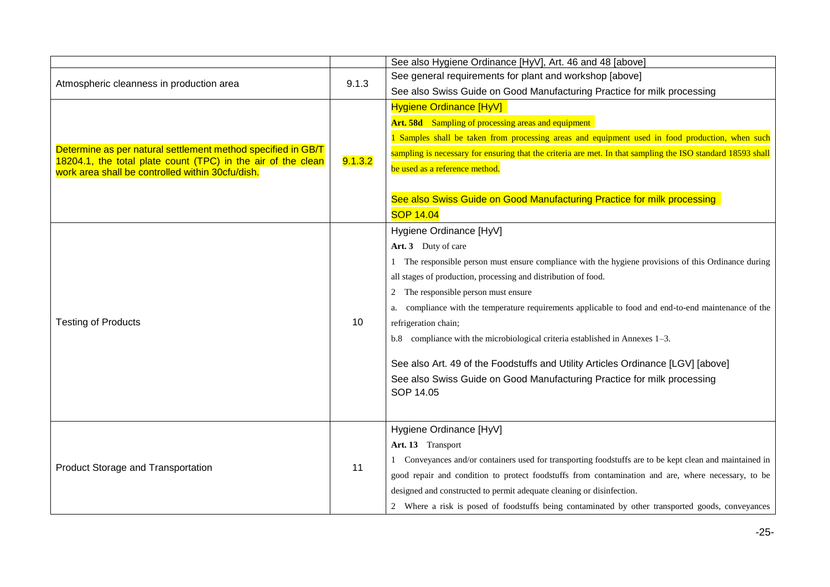|                                                                                                                  |         | See also Hygiene Ordinance [HyV], Art. 46 and 48 [above]                                                    |
|------------------------------------------------------------------------------------------------------------------|---------|-------------------------------------------------------------------------------------------------------------|
| Atmospheric cleanness in production area                                                                         |         | See general requirements for plant and workshop [above]                                                     |
|                                                                                                                  | 9.1.3   | See also Swiss Guide on Good Manufacturing Practice for milk processing                                     |
|                                                                                                                  |         | <b>Hygiene Ordinance [HyV]</b>                                                                              |
|                                                                                                                  |         | Art. 58d Sampling of processing areas and equipment                                                         |
|                                                                                                                  |         | 1 Samples shall be taken from processing areas and equipment used in food production, when such             |
| Determine as per natural settlement method specified in GB/T                                                     |         | sampling is necessary for ensuring that the criteria are met. In that sampling the ISO standard 18593 shall |
| 18204.1, the total plate count (TPC) in the air of the clean<br>work area shall be controlled within 30cfu/dish. | 9.1.3.2 | be used as a reference method.                                                                              |
|                                                                                                                  |         |                                                                                                             |
|                                                                                                                  |         | See also Swiss Guide on Good Manufacturing Practice for milk processing                                     |
|                                                                                                                  |         | <b>SOP 14.04</b>                                                                                            |
|                                                                                                                  |         | Hygiene Ordinance [HyV]                                                                                     |
|                                                                                                                  |         | Art. 3 Duty of care                                                                                         |
|                                                                                                                  |         | 1 The responsible person must ensure compliance with the hygiene provisions of this Ordinance during        |
|                                                                                                                  | 10      | all stages of production, processing and distribution of food.                                              |
|                                                                                                                  |         | The responsible person must ensure<br>$\mathbf{2}$                                                          |
|                                                                                                                  |         | compliance with the temperature requirements applicable to food and end-to-end maintenance of the           |
| <b>Testing of Products</b>                                                                                       |         | refrigeration chain;                                                                                        |
|                                                                                                                  |         | b.8 compliance with the microbiological criteria established in Annexes 1-3.                                |
|                                                                                                                  |         | See also Art. 49 of the Foodstuffs and Utility Articles Ordinance [LGV] [above]                             |
|                                                                                                                  |         | See also Swiss Guide on Good Manufacturing Practice for milk processing                                     |
|                                                                                                                  |         | SOP 14.05                                                                                                   |
|                                                                                                                  |         |                                                                                                             |
|                                                                                                                  |         | Hygiene Ordinance [HyV]                                                                                     |
| Product Storage and Transportation                                                                               | 11      | Art. 13 Transport                                                                                           |
|                                                                                                                  |         | Conveyances and/or containers used for transporting foodstuffs are to be kept clean and maintained in       |
|                                                                                                                  |         | good repair and condition to protect foodstuffs from contamination and are, where necessary, to be          |
|                                                                                                                  |         | designed and constructed to permit adequate cleaning or disinfection.                                       |
|                                                                                                                  |         | 2 Where a risk is posed of foodstuffs being contaminated by other transported goods, conveyances            |
|                                                                                                                  |         |                                                                                                             |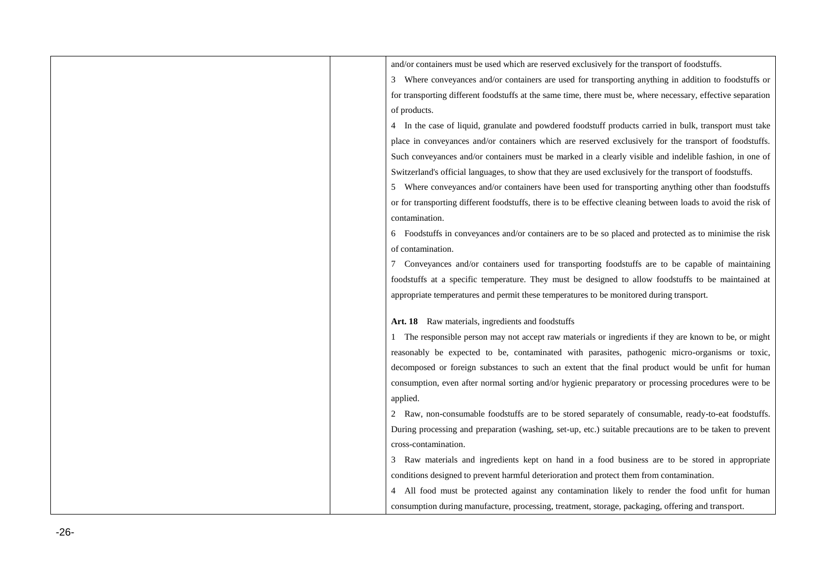| and/or containers must be used which are reserved exclusively for the transport of foodstuffs.                 |
|----------------------------------------------------------------------------------------------------------------|
| 3 Where conveyances and/or containers are used for transporting anything in addition to foodstuffs or          |
| for transporting different foodstuffs at the same time, there must be, where necessary, effective separation   |
| of products.                                                                                                   |
| 4 In the case of liquid, granulate and powdered foodstuff products carried in bulk, transport must take        |
| place in conveyances and/or containers which are reserved exclusively for the transport of foodstuffs.         |
| Such conveyances and/or containers must be marked in a clearly visible and indelible fashion, in one of        |
| Switzerland's official languages, to show that they are used exclusively for the transport of foodstuffs.      |
| 5 Where conveyances and/or containers have been used for transporting anything other than foodstuffs           |
| or for transporting different foodstuffs, there is to be effective cleaning between loads to avoid the risk of |
| contamination.                                                                                                 |
| 6 Foodstuffs in conveyances and/or containers are to be so placed and protected as to minimise the risk        |
| of contamination.                                                                                              |
| 7 Conveyances and/or containers used for transporting foodstuffs are to be capable of maintaining              |
| foodstuffs at a specific temperature. They must be designed to allow foodstuffs to be maintained at            |
| appropriate temperatures and permit these temperatures to be monitored during transport.                       |
|                                                                                                                |
| Art. 18 Raw materials, ingredients and foodstuffs                                                              |
| The responsible person may not accept raw materials or ingredients if they are known to be, or might           |
| reasonably be expected to be, contaminated with parasites, pathogenic micro-organisms or toxic,                |
| decomposed or foreign substances to such an extent that the final product would be unfit for human             |
| consumption, even after normal sorting and/or hygienic preparatory or processing procedures were to be         |
| applied.                                                                                                       |
| 2 Raw, non-consumable foodstuffs are to be stored separately of consumable, ready-to-eat foodstuffs.           |
| During processing and preparation (washing, set-up, etc.) suitable precautions are to be taken to prevent      |
| cross-contamination.                                                                                           |
| 3 Raw materials and ingredients kept on hand in a food business are to be stored in appropriate                |
| conditions designed to prevent harmful deterioration and protect them from contamination.                      |
| 4 All food must be protected against any contamination likely to render the food unfit for human               |
| consumption during manufacture, processing, treatment, storage, packaging, offering and transport.             |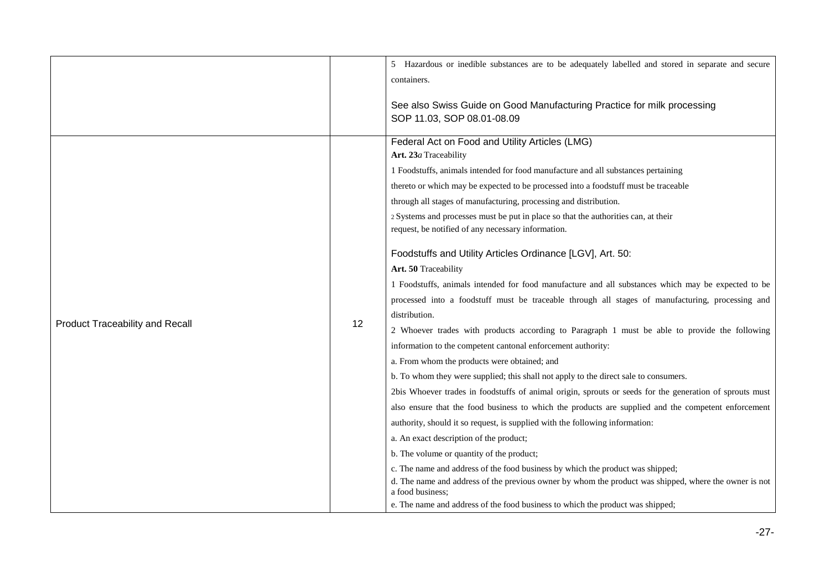|                                        |    | 5 Hazardous or inedible substances are to be adequately labelled and stored in separate and secure<br>containers.                                                                                                                                                                                                                                                                                                                                                                                                                                                                                                                                                                                                                                                                                                                                                                                                                                                                                                                                                                                                                                                                                                                                                                                                                                                                                                                                                                       |
|----------------------------------------|----|-----------------------------------------------------------------------------------------------------------------------------------------------------------------------------------------------------------------------------------------------------------------------------------------------------------------------------------------------------------------------------------------------------------------------------------------------------------------------------------------------------------------------------------------------------------------------------------------------------------------------------------------------------------------------------------------------------------------------------------------------------------------------------------------------------------------------------------------------------------------------------------------------------------------------------------------------------------------------------------------------------------------------------------------------------------------------------------------------------------------------------------------------------------------------------------------------------------------------------------------------------------------------------------------------------------------------------------------------------------------------------------------------------------------------------------------------------------------------------------------|
|                                        |    | See also Swiss Guide on Good Manufacturing Practice for milk processing<br>SOP 11.03, SOP 08.01-08.09                                                                                                                                                                                                                                                                                                                                                                                                                                                                                                                                                                                                                                                                                                                                                                                                                                                                                                                                                                                                                                                                                                                                                                                                                                                                                                                                                                                   |
| <b>Product Traceability and Recall</b> | 12 | Federal Act on Food and Utility Articles (LMG)<br>Art. 23a Traceability<br>1 Foodstuffs, animals intended for food manufacture and all substances pertaining<br>thereto or which may be expected to be processed into a foodstuff must be traceable<br>through all stages of manufacturing, processing and distribution.<br>2 Systems and processes must be put in place so that the authorities can, at their<br>request, be notified of any necessary information.<br>Foodstuffs and Utility Articles Ordinance [LGV], Art. 50:<br>Art. 50 Traceability<br>1 Foodstuffs, animals intended for food manufacture and all substances which may be expected to be<br>processed into a foodstuff must be traceable through all stages of manufacturing, processing and<br>distribution.<br>2 Whoever trades with products according to Paragraph 1 must be able to provide the following<br>information to the competent cantonal enforcement authority:<br>a. From whom the products were obtained; and<br>b. To whom they were supplied; this shall not apply to the direct sale to consumers.<br>2bis Whoever trades in foodstuffs of animal origin, sprouts or seeds for the generation of sprouts must<br>also ensure that the food business to which the products are supplied and the competent enforcement<br>authority, should it so request, is supplied with the following information:<br>a. An exact description of the product;<br>b. The volume or quantity of the product; |
|                                        |    | c. The name and address of the food business by which the product was shipped;<br>d. The name and address of the previous owner by whom the product was shipped, where the owner is not<br>a food business;<br>e. The name and address of the food business to which the product was shipped;                                                                                                                                                                                                                                                                                                                                                                                                                                                                                                                                                                                                                                                                                                                                                                                                                                                                                                                                                                                                                                                                                                                                                                                           |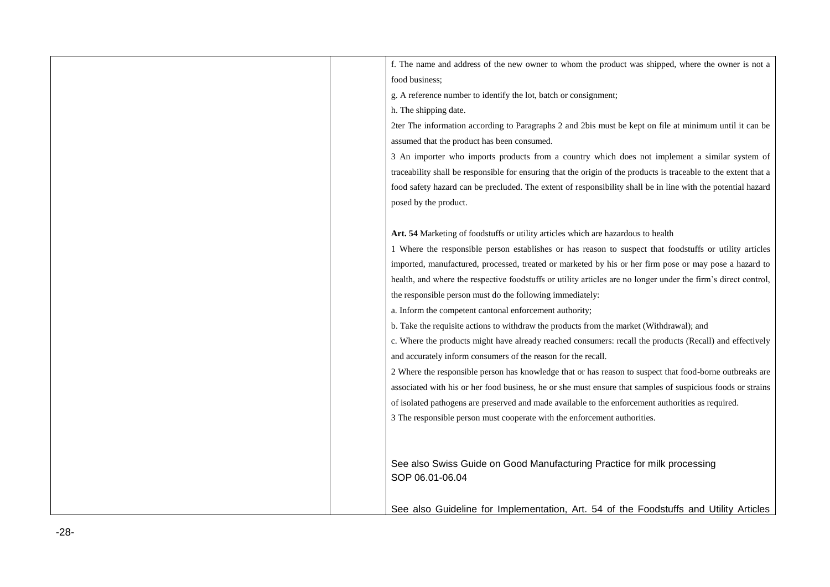| f. The name and address of the new owner to whom the product was shipped, where the owner is not a               |
|------------------------------------------------------------------------------------------------------------------|
| food business;                                                                                                   |
| g. A reference number to identify the lot, batch or consignment;                                                 |
| h. The shipping date.                                                                                            |
| 2ter The information according to Paragraphs 2 and 2bis must be kept on file at minimum until it can be          |
| assumed that the product has been consumed.                                                                      |
| 3 An importer who imports products from a country which does not implement a similar system of                   |
| traceability shall be responsible for ensuring that the origin of the products is traceable to the extent that a |
| food safety hazard can be precluded. The extent of responsibility shall be in line with the potential hazard     |
| posed by the product.                                                                                            |
|                                                                                                                  |
| Art. 54 Marketing of foodstuffs or utility articles which are hazardous to health                                |
| 1 Where the responsible person establishes or has reason to suspect that foodstuffs or utility articles          |
| imported, manufactured, processed, treated or marketed by his or her firm pose or may pose a hazard to           |
| health, and where the respective foodstuffs or utility articles are no longer under the firm's direct control,   |
| the responsible person must do the following immediately:                                                        |
| a. Inform the competent cantonal enforcement authority;                                                          |
| b. Take the requisite actions to withdraw the products from the market (Withdrawal); and                         |
| c. Where the products might have already reached consumers: recall the products (Recall) and effectively         |
| and accurately inform consumers of the reason for the recall.                                                    |
| 2 Where the responsible person has knowledge that or has reason to suspect that food-borne outbreaks are         |
| associated with his or her food business, he or she must ensure that samples of suspicious foods or strains      |
| of isolated pathogens are preserved and made available to the enforcement authorities as required.               |
| 3 The responsible person must cooperate with the enforcement authorities.                                        |
|                                                                                                                  |
|                                                                                                                  |
| See also Swiss Guide on Good Manufacturing Practice for milk processing                                          |
| SOP 06.01-06.04                                                                                                  |
|                                                                                                                  |
| See also Guideline for Implementation, Art. 54 of the Foodstuffs and Utility Articles                            |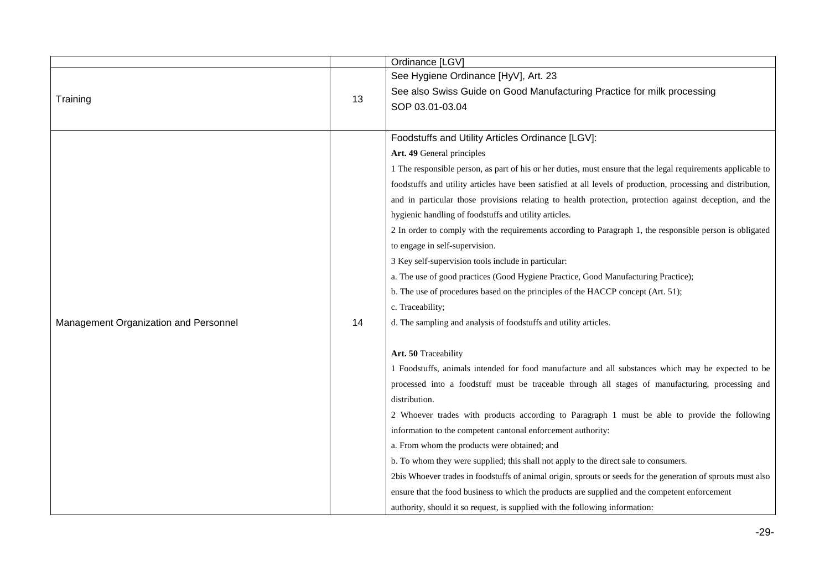|                                       |    | Ordinance [LGV]                                                                                               |
|---------------------------------------|----|---------------------------------------------------------------------------------------------------------------|
|                                       |    | See Hygiene Ordinance [HyV], Art. 23                                                                          |
| Training                              | 13 | See also Swiss Guide on Good Manufacturing Practice for milk processing<br>SOP 03.01-03.04                    |
|                                       |    |                                                                                                               |
|                                       |    | Foodstuffs and Utility Articles Ordinance [LGV]:                                                              |
|                                       |    | Art. 49 General principles                                                                                    |
|                                       |    | 1 The responsible person, as part of his or her duties, must ensure that the legal requirements applicable to |
|                                       |    | foodstuffs and utility articles have been satisfied at all levels of production, processing and distribution, |
|                                       |    | and in particular those provisions relating to health protection, protection against deception, and the       |
|                                       |    | hygienic handling of foodstuffs and utility articles.                                                         |
|                                       |    | 2 In order to comply with the requirements according to Paragraph 1, the responsible person is obligated      |
|                                       |    | to engage in self-supervision.                                                                                |
|                                       |    | 3 Key self-supervision tools include in particular:                                                           |
|                                       |    | a. The use of good practices (Good Hygiene Practice, Good Manufacturing Practice);                            |
|                                       |    | b. The use of procedures based on the principles of the HACCP concept (Art. 51);                              |
|                                       |    | c. Traceability;                                                                                              |
| Management Organization and Personnel | 14 | d. The sampling and analysis of foodstuffs and utility articles.                                              |
|                                       |    | Art. 50 Traceability                                                                                          |
|                                       |    | 1 Foodstuffs, animals intended for food manufacture and all substances which may be expected to be            |
|                                       |    | processed into a foodstuff must be traceable through all stages of manufacturing, processing and              |
|                                       |    | distribution.                                                                                                 |
|                                       |    | 2 Whoever trades with products according to Paragraph 1 must be able to provide the following                 |
|                                       |    | information to the competent cantonal enforcement authority:                                                  |
|                                       |    | a. From whom the products were obtained; and                                                                  |
|                                       |    | b. To whom they were supplied; this shall not apply to the direct sale to consumers.                          |
|                                       |    | 2bis Whoever trades in foodstuffs of animal origin, sprouts or seeds for the generation of sprouts must also  |
|                                       |    | ensure that the food business to which the products are supplied and the competent enforcement                |
|                                       |    | authority, should it so request, is supplied with the following information:                                  |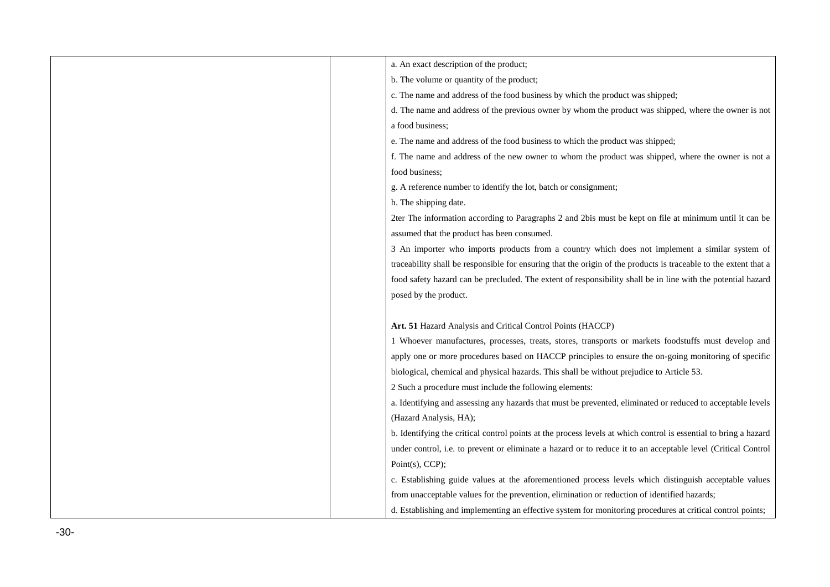| a. An exact description of the product;                                                                          |
|------------------------------------------------------------------------------------------------------------------|
| b. The volume or quantity of the product;                                                                        |
| c. The name and address of the food business by which the product was shipped;                                   |
| d. The name and address of the previous owner by whom the product was shipped, where the owner is not            |
| a food business;                                                                                                 |
| e. The name and address of the food business to which the product was shipped;                                   |
| f. The name and address of the new owner to whom the product was shipped, where the owner is not a               |
| food business;                                                                                                   |
| g. A reference number to identify the lot, batch or consignment;                                                 |
| h. The shipping date.                                                                                            |
| 2ter The information according to Paragraphs 2 and 2bis must be kept on file at minimum until it can be          |
| assumed that the product has been consumed.                                                                      |
| 3 An importer who imports products from a country which does not implement a similar system of                   |
| traceability shall be responsible for ensuring that the origin of the products is traceable to the extent that a |
| food safety hazard can be precluded. The extent of responsibility shall be in line with the potential hazard     |
| posed by the product.                                                                                            |
|                                                                                                                  |
| Art. 51 Hazard Analysis and Critical Control Points (HACCP)                                                      |
| 1 Whoever manufactures, processes, treats, stores, transports or markets foodstuffs must develop and             |
| apply one or more procedures based on HACCP principles to ensure the on-going monitoring of specific             |
| biological, chemical and physical hazards. This shall be without prejudice to Article 53.                        |
| 2 Such a procedure must include the following elements:                                                          |
| a. Identifying and assessing any hazards that must be prevented, eliminated or reduced to acceptable levels      |
| (Hazard Analysis, HA);                                                                                           |
| b. Identifying the critical control points at the process levels at which control is essential to bring a hazard |
| under control, i.e. to prevent or eliminate a hazard or to reduce it to an acceptable level (Critical Control    |
| Point $(s)$ , CCP);                                                                                              |
| c. Establishing guide values at the aforementioned process levels which distinguish acceptable values            |
| from unacceptable values for the prevention, elimination or reduction of identified hazards;                     |
| d. Establishing and implementing an effective system for monitoring procedures at critical control points;       |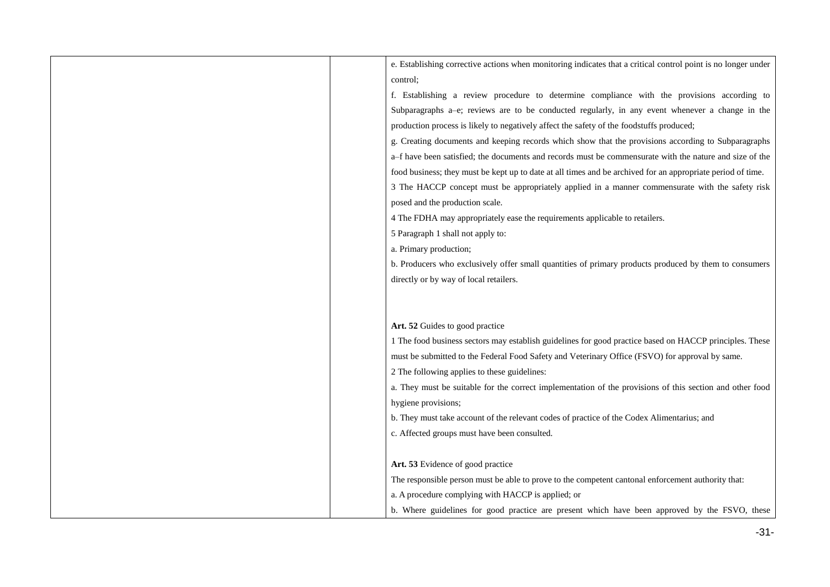| e. Establishing corrective actions when monitoring indicates that a critical control point is no longer under |
|---------------------------------------------------------------------------------------------------------------|
| control;                                                                                                      |
| f. Establishing a review procedure to determine compliance with the provisions according to                   |
| Subparagraphs a-e; reviews are to be conducted regularly, in any event whenever a change in the               |
| production process is likely to negatively affect the safety of the foodstuffs produced;                      |
| g. Creating documents and keeping records which show that the provisions according to Subparagraphs           |
| a-f have been satisfied; the documents and records must be commensurate with the nature and size of the       |
| food business; they must be kept up to date at all times and be archived for an appropriate period of time.   |
| 3 The HACCP concept must be appropriately applied in a manner commensurate with the safety risk               |
| posed and the production scale.                                                                               |
| 4 The FDHA may appropriately ease the requirements applicable to retailers.                                   |
| 5 Paragraph 1 shall not apply to:                                                                             |
| a. Primary production;                                                                                        |
| b. Producers who exclusively offer small quantities of primary products produced by them to consumers         |
| directly or by way of local retailers.                                                                        |
|                                                                                                               |
|                                                                                                               |
| Art. 52 Guides to good practice                                                                               |
| 1 The food business sectors may establish guidelines for good practice based on HACCP principles. These       |
| must be submitted to the Federal Food Safety and Veterinary Office (FSVO) for approval by same.               |
| 2 The following applies to these guidelines:                                                                  |
| a. They must be suitable for the correct implementation of the provisions of this section and other food      |
| hygiene provisions;                                                                                           |
| b. They must take account of the relevant codes of practice of the Codex Alimentarius; and                    |
| c. Affected groups must have been consulted.                                                                  |
|                                                                                                               |
| Art. 53 Evidence of good practice                                                                             |
| The responsible person must be able to prove to the competent cantonal enforcement authority that:            |
| a. A procedure complying with HACCP is applied; or                                                            |
| b. Where guidelines for good practice are present which have been approved by the FSVO, these                 |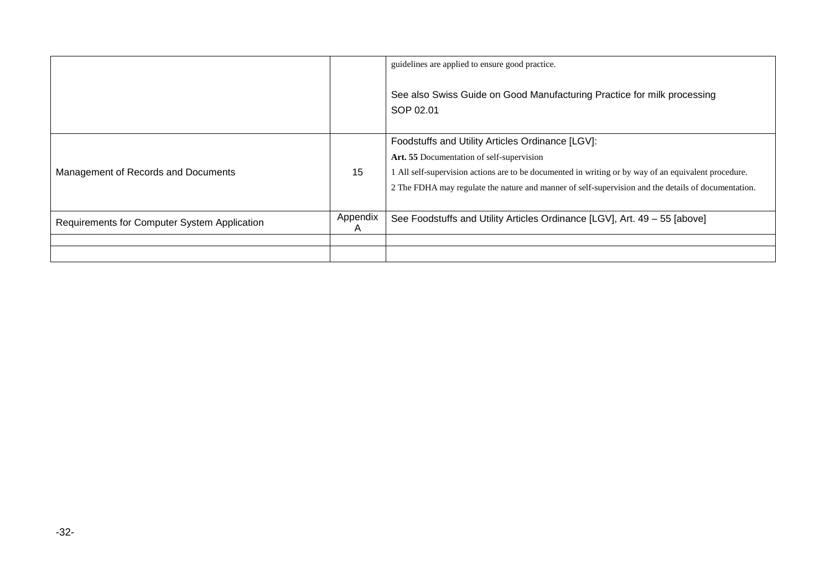|                                              |               | guidelines are applied to ensure good practice.<br>See also Swiss Guide on Good Manufacturing Practice for milk processing<br>SOP 02.01                                                                                                                                                                    |
|----------------------------------------------|---------------|------------------------------------------------------------------------------------------------------------------------------------------------------------------------------------------------------------------------------------------------------------------------------------------------------------|
| Management of Records and Documents          | 15            | Foodstuffs and Utility Articles Ordinance [LGV]:<br>Art. 55 Documentation of self-supervision<br>All self-supervision actions are to be documented in writing or by way of an equivalent procedure.<br>2 The FDHA may regulate the nature and manner of self-supervision and the details of documentation. |
| Requirements for Computer System Application | Appendix<br>A | See Foodstuffs and Utility Articles Ordinance [LGV], Art. 49 - 55 [above]                                                                                                                                                                                                                                  |
|                                              |               |                                                                                                                                                                                                                                                                                                            |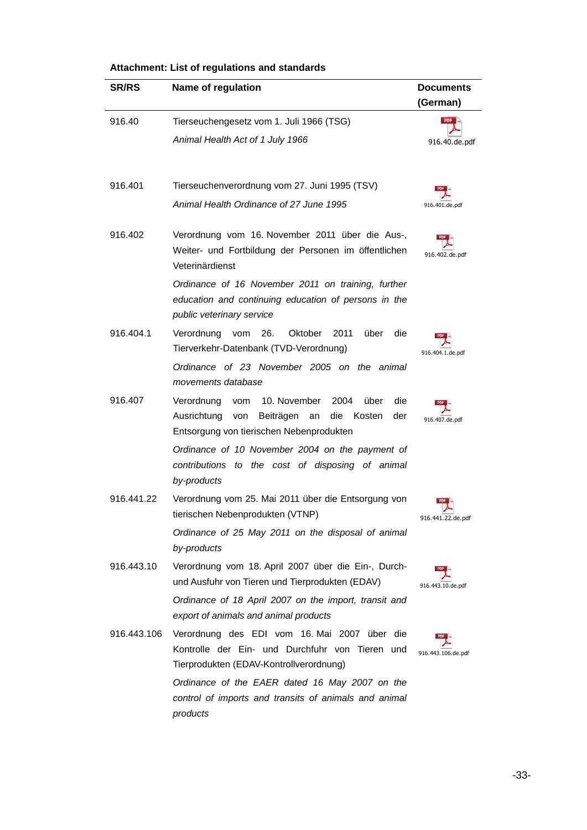| <b>SR/RS</b> | Name of regulation                                                                                                                                                    | <b>Documents</b><br>(German) |
|--------------|-----------------------------------------------------------------------------------------------------------------------------------------------------------------------|------------------------------|
| 916.40       | Tierseuchengesetz vom 1. Juli 1966 (TSG)                                                                                                                              | <b>PDF</b>                   |
|              | Animal Health Act of 1 July 1966                                                                                                                                      | 916.40.de.pdf                |
| 916.401      | Tierseuchenverordnung vom 27. Juni 1995 (TSV)                                                                                                                         |                              |
|              | Animal Health Ordinance of 27 June 1995                                                                                                                               | 916.401.de.pdf               |
| 916.402      | Verordnung vom 16. November 2011 über die Aus-,<br>Weiter- und Fortbildung der Personen im öffentlichen<br>Veterinärdienst                                            | 916.402.de.pdf               |
|              | Ordinance of 16 November 2011 on training, further<br>education and continuing education of persons in the<br>public veterinary service                               |                              |
| 916.404.1    | Verordnung vom 26.<br>Oktober<br>2011<br>über<br>die<br>Tierverkehr-Datenbank (TVD-Verordnung)                                                                        | 916.404.1.de.pdf             |
|              | Ordinance of 23 November 2005 on the animal<br>movements database                                                                                                     |                              |
| 916.407      | 10. November<br>die<br>Verordnung<br>vom<br>2004<br>über<br>die<br>Ausrichtung<br>Beiträgen<br>Kosten<br>der<br>von<br>an<br>Entsorgung von tierischen Nebenprodukten | 916.407.de.pdf               |
|              | Ordinance of 10 November 2004 on the payment of<br>contributions to the cost of disposing of animal<br>by-products                                                    |                              |
| 916.441.22   | Verordnung vom 25. Mai 2011 über die Entsorgung von<br>tierischen Nebenprodukten (VTNP)                                                                               | 916.441.22.de.pdf            |
|              | Ordinance of 25 May 2011 on the disposal of animal<br>by-products                                                                                                     |                              |
| 916.443.10   | Verordnung vom 18. April 2007 über die Ein-, Durch-<br>und Ausfuhr von Tieren und Tierprodukten (EDAV)                                                                | 916.443.10.de.pdf            |
|              | Ordinance of 18 April 2007 on the import, transit and<br>export of animals and animal products                                                                        |                              |
| 916.443.106  | Verordnung des EDI vom 16. Mai 2007 über die<br>Kontrolle der Ein- und Durchfuhr von Tieren und<br>Tierprodukten (EDAV-Kontrollverordnung)                            | 916.443.106.de.pdf           |
|              | Ordinance of the EAER dated 16 May 2007 on the<br>control of imports and transits of animals and animal<br>products                                                   |                              |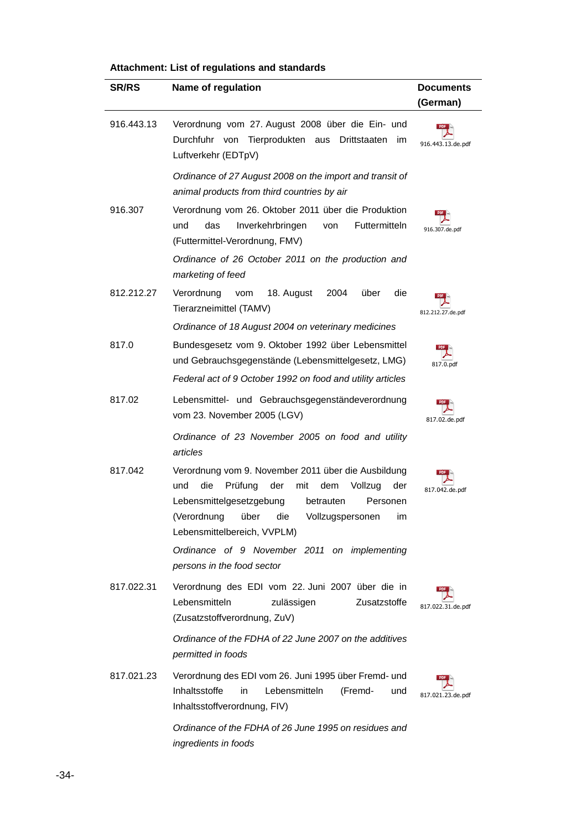| <b>SR/RS</b> | Name of regulation                                                                                                                                                                                                                                     | <b>Documents</b><br>(German) |
|--------------|--------------------------------------------------------------------------------------------------------------------------------------------------------------------------------------------------------------------------------------------------------|------------------------------|
| 916.443.13   | Verordnung vom 27. August 2008 über die Ein- und<br>Durchfuhr von Tierprodukten aus<br>Drittstaaten<br>im<br>Luftverkehr (EDTpV)                                                                                                                       | 916.443.13.de.pdf            |
|              | Ordinance of 27 August 2008 on the import and transit of<br>animal products from third countries by air                                                                                                                                                |                              |
| 916.307      | Verordnung vom 26. Oktober 2011 über die Produktion<br>das<br>Inverkehrbringen<br>Futtermitteln<br>und<br>von<br>(Futtermittel-Verordnung, FMV)                                                                                                        | 916.307.de.pdf               |
|              | Ordinance of 26 October 2011 on the production and<br>marketing of feed                                                                                                                                                                                |                              |
| 812.212.27   | Verordnung<br>die<br>18. August<br>2004<br>über<br>vom<br>Tierarzneimittel (TAMV)                                                                                                                                                                      | 812.212.27.de.pdf            |
|              | Ordinance of 18 August 2004 on veterinary medicines                                                                                                                                                                                                    |                              |
| 817.0        | Bundesgesetz vom 9. Oktober 1992 über Lebensmittel<br>und Gebrauchsgegenstände (Lebensmittelgesetz, LMG)                                                                                                                                               | 817.0.pdf                    |
|              | Federal act of 9 October 1992 on food and utility articles                                                                                                                                                                                             |                              |
| 817.02       | Lebensmittel- und Gebrauchsgegenständeverordnung<br>vom 23. November 2005 (LGV)                                                                                                                                                                        | 817.02.de.pdf                |
|              | Ordinance of 23 November 2005 on food and utility<br>articles                                                                                                                                                                                          |                              |
| 817.042      | Verordnung vom 9. November 2011 über die Ausbildung<br>die<br>Prüfung<br>der<br>Vollzug<br>und<br>mit<br>dem<br>der<br>Lebensmittelgesetzgebung<br>betrauten<br>Personen<br>(Verordnung über die Vollzugspersonen<br>im<br>Lebensmittelbereich, VVPLM) | 817.042.de.pdf               |
|              | Ordinance of 9 November 2011 on implementing<br>persons in the food sector                                                                                                                                                                             |                              |
| 817.022.31   | Verordnung des EDI vom 22. Juni 2007 über die in<br>Lebensmitteln<br>Zusatzstoffe<br>zulässigen<br>(Zusatzstoffverordnung, ZuV)                                                                                                                        | 817.022.31.de.pdf            |
|              | Ordinance of the FDHA of 22 June 2007 on the additives<br>permitted in foods                                                                                                                                                                           |                              |
| 817.021.23   | Verordnung des EDI vom 26. Juni 1995 über Fremd- und<br>Inhaltsstoffe<br>Lebensmitteln<br>(Fremd-<br>in<br>und<br>Inhaltsstoffverordnung, FIV)                                                                                                         | 817.021.23.de.pdf            |
|              | Ordinance of the FDHA of 26 June 1995 on residues and<br>ingredients in foods                                                                                                                                                                          |                              |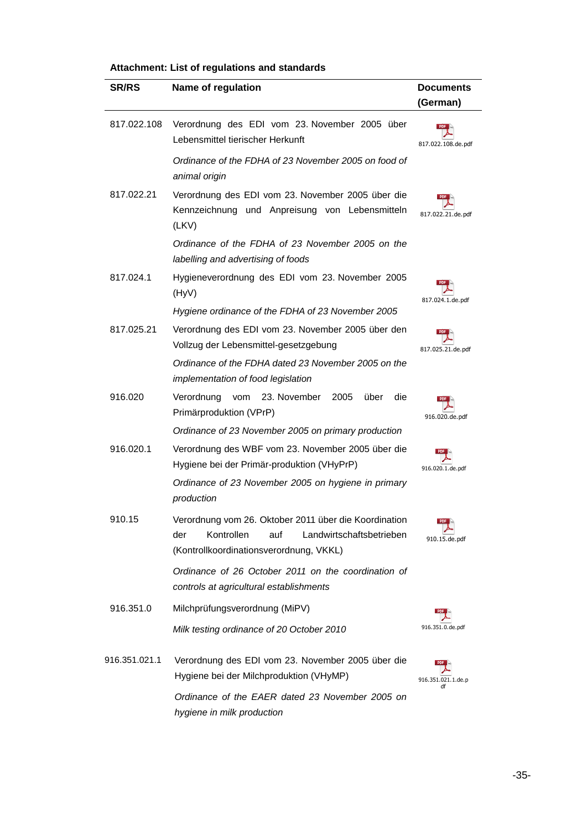| <b>SR/RS</b>  | Name of regulation                                                                                                                                       | <b>Documents</b>   |
|---------------|----------------------------------------------------------------------------------------------------------------------------------------------------------|--------------------|
|               |                                                                                                                                                          | (German)           |
| 817.022.108   | Verordnung des EDI vom 23. November 2005 über<br>Lebensmittel tierischer Herkunft                                                                        | 817.022.108.de.pdf |
|               | Ordinance of the FDHA of 23 November 2005 on food of<br>animal origin                                                                                    |                    |
| 817.022.21    | Verordnung des EDI vom 23. November 2005 über die<br>Kennzeichnung und Anpreisung von Lebensmitteln<br>(LKV)                                             | 817.022.21.de.pdf  |
|               | Ordinance of the FDHA of 23 November 2005 on the<br>labelling and advertising of foods                                                                   |                    |
| 817.024.1     | Hygieneverordnung des EDI vom 23. November 2005<br>(HyV)                                                                                                 | 817.024.1.de.pdf   |
|               | Hygiene ordinance of the FDHA of 23 November 2005                                                                                                        |                    |
| 817.025.21    | Verordnung des EDI vom 23. November 2005 über den<br>Vollzug der Lebensmittel-gesetzgebung                                                               | 817.025.21.de.pdf  |
|               | Ordinance of the FDHA dated 23 November 2005 on the<br>implementation of food legislation                                                                |                    |
| 916.020       | 23. November<br>über<br>die<br>Verordnung<br>2005<br>vom<br>Primärproduktion (VPrP)                                                                      | 916.020.de.pdf     |
|               | Ordinance of 23 November 2005 on primary production                                                                                                      |                    |
| 916.020.1     | Verordnung des WBF vom 23. November 2005 über die<br>Hygiene bei der Primär-produktion (VHyPrP)                                                          | 916.020.1.de.pdf   |
|               | Ordinance of 23 November 2005 on hygiene in primary<br>production                                                                                        |                    |
| 910.15        | Verordnung vom 26. Oktober 2011 über die Koordination<br>Kontrollen<br>auf<br>Landwirtschaftsbetrieben<br>der<br>(Kontrollkoordinationsverordnung, VKKL) | 910.15.de.pdf      |
|               | Ordinance of 26 October 2011 on the coordination of<br>controls at agricultural establishments                                                           |                    |
| 916.351.0     | Milchprüfungsverordnung (MiPV)                                                                                                                           |                    |
|               | Milk testing ordinance of 20 October 2010                                                                                                                | 916.351.0.de.pdf   |
| 916.351.021.1 | Verordnung des EDI vom 23. November 2005 über die<br>Hygiene bei der Milchproduktion (VHyMP)                                                             | 916.351.021.1.de.p |
|               | Ordinance of the EAER dated 23 November 2005 on<br>hygiene in milk production                                                                            |                    |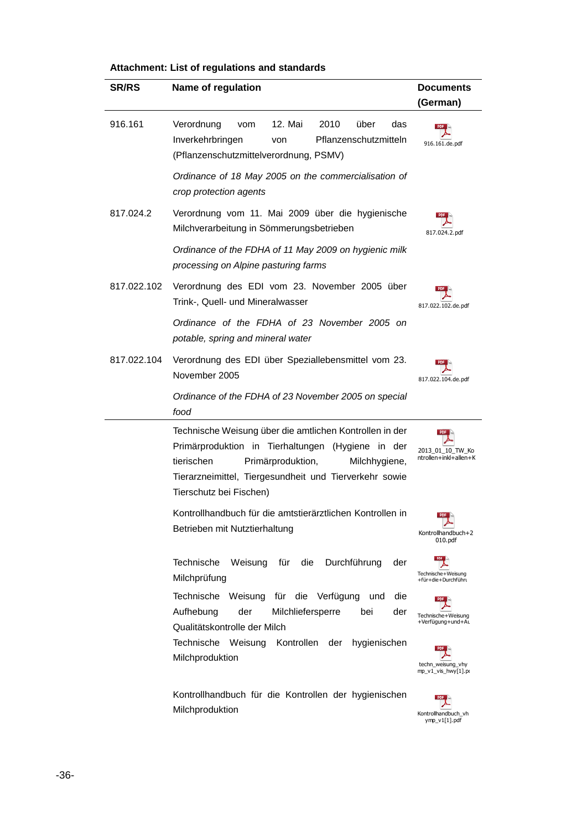| <b>SR/RS</b> | Name of regulation                                                                                                                                                                                                                                    | <b>Documents</b><br>(German)              |
|--------------|-------------------------------------------------------------------------------------------------------------------------------------------------------------------------------------------------------------------------------------------------------|-------------------------------------------|
| 916.161      | Verordnung<br>12. Mai<br>2010<br>über<br>das<br>vom<br>Inverkehrbringen<br>Pflanzenschutzmitteln<br>von<br>(Pflanzenschutzmittelverordnung, PSMV)                                                                                                     | 916.161.de.pdf                            |
|              | Ordinance of 18 May 2005 on the commercialisation of<br>crop protection agents                                                                                                                                                                        |                                           |
| 817.024.2    | Verordnung vom 11. Mai 2009 über die hygienische<br>Milchverarbeitung in Sömmerungsbetrieben                                                                                                                                                          | 817.024.2.pdf                             |
|              | Ordinance of the FDHA of 11 May 2009 on hygienic milk<br>processing on Alpine pasturing farms                                                                                                                                                         |                                           |
| 817.022.102  | Verordnung des EDI vom 23. November 2005 über<br>Trink-, Quell- und Mineralwasser                                                                                                                                                                     | 817.022.102.de.pdf                        |
|              | Ordinance of the FDHA of 23 November 2005 on<br>potable, spring and mineral water                                                                                                                                                                     |                                           |
| 817.022.104  | Verordnung des EDI über Speziallebensmittel vom 23.<br>November 2005                                                                                                                                                                                  | 817.022.104.de.pdf                        |
|              | Ordinance of the FDHA of 23 November 2005 on special<br>food                                                                                                                                                                                          |                                           |
|              | Technische Weisung über die amtlichen Kontrollen in der<br>Primärproduktion in Tierhaltungen (Hygiene in der<br>tierischen<br>Primärproduktion,<br>Milchhygiene,<br>Tierarzneimittel, Tiergesundheit und Tierverkehr sowie<br>Tierschutz bei Fischen) | 2013_01_10_TW Ko<br>ntrollen+inkl+allen+K |
|              | Kontrollhandbuch für die amtstierärztlichen Kontrollen in<br>Betrieben mit Nutztierhaltung                                                                                                                                                            | Kontrollhandbuch+2<br>010.pdf             |
|              | Technische<br>Durchführung<br>Weisung<br>für<br>die<br>der<br>Milchprüfung                                                                                                                                                                            | Technische+Weisung<br>+für+die+Durchführu |
|              | Technische Weisung<br>für die Verfügung<br>die<br>und<br>Aufhebung<br>der<br>Milchliefersperre<br>der<br>bei<br>Qualitätskontrolle der Milch                                                                                                          | Technische+Weisung<br>+Verfügung+und+At   |
|              | Technische Weisung Kontrollen<br>hygienischen<br>der<br>Milchproduktion                                                                                                                                                                               | techn_weisung_vhy<br>mp_v1_vis_hwy[1].pi  |
|              | Kontrollhandbuch für die Kontrollen der hygienischen<br>Milchproduktion                                                                                                                                                                               | Kontrollhandbuch_vh<br>ymp v1[1].pdf      |